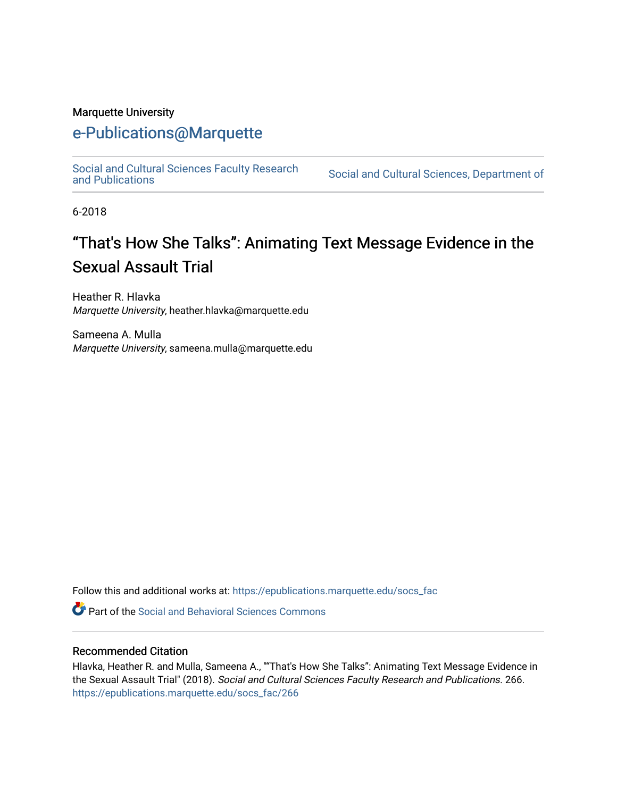#### Marquette University

## [e-Publications@Marquette](https://epublications.marquette.edu/)

[Social and Cultural Sciences Faculty Research](https://epublications.marquette.edu/socs_fac)

Social and Cultural Sciences, Department of

6-2018

# "That's How She Talks": Animating Text Message Evidence in the Sexual Assault Trial

Heather R. Hlavka Marquette University, heather.hlavka@marquette.edu

Sameena A. Mulla Marquette University, sameena.mulla@marquette.edu

Follow this and additional works at: [https://epublications.marquette.edu/socs\\_fac](https://epublications.marquette.edu/socs_fac?utm_source=epublications.marquette.edu%2Fsocs_fac%2F266&utm_medium=PDF&utm_campaign=PDFCoverPages)

**C** Part of the Social and Behavioral Sciences Commons

#### Recommended Citation

Hlavka, Heather R. and Mulla, Sameena A., ""That's How She Talks": Animating Text Message Evidence in the Sexual Assault Trial" (2018). Social and Cultural Sciences Faculty Research and Publications. 266. [https://epublications.marquette.edu/socs\\_fac/266](https://epublications.marquette.edu/socs_fac/266?utm_source=epublications.marquette.edu%2Fsocs_fac%2F266&utm_medium=PDF&utm_campaign=PDFCoverPages)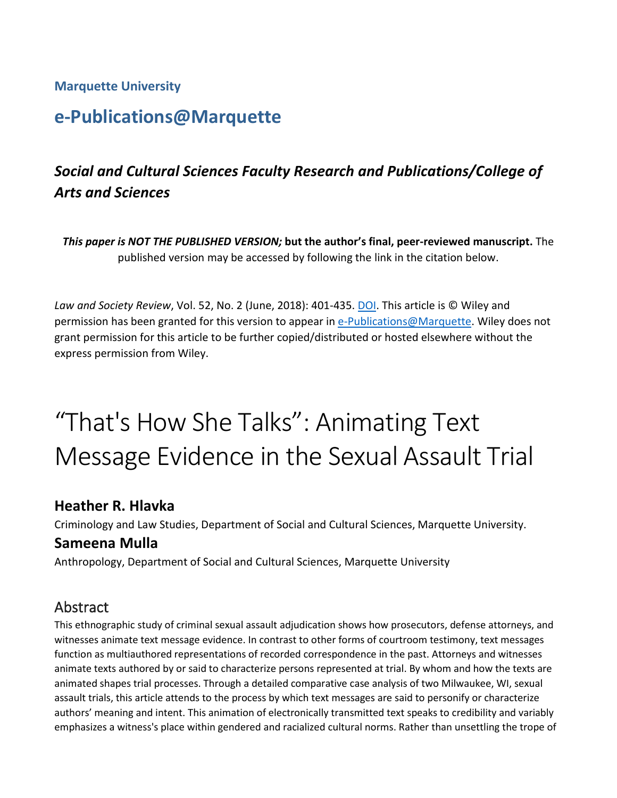#### **Marquette University**

# **e-Publications@Marquette**

## *Social and Cultural Sciences Faculty Research and Publications/College of Arts and Sciences*

*This paper is NOT THE PUBLISHED VERSION;* **but the author's final, peer-reviewed manuscript.** The published version may be accessed by following the link in the citation below.

*Law and Society Review*, Vol. 52, No. 2 (June, 2018): 401-435. DOI. This article is © Wiley and permission has been granted for this version to appear in [e-Publications@Marquette.](http://epublications.marquette.edu/) Wiley does not grant permission for this article to be further copied/distributed or hosted elsewhere without the express permission from Wiley.

# "That's How She Talks": Animating Text Message Evidence in the Sexual Assault Trial

#### **Heather R. Hlavka**

Criminology and Law Studies, Department of Social and Cultural Sciences, Marquette University.

#### **Sameena Mulla**

Anthropology, Department of Social and Cultural Sciences, Marquette University

### Abstract

This ethnographic study of criminal sexual assault adjudication shows how prosecutors, defense attorneys, and witnesses animate text message evidence. In contrast to other forms of courtroom testimony, text messages function as multiauthored representations of recorded correspondence in the past. Attorneys and witnesses animate texts authored by or said to characterize persons represented at trial. By whom and how the texts are animated shapes trial processes. Through a detailed comparative case analysis of two Milwaukee, WI, sexual assault trials, this article attends to the process by which text messages are said to personify or characterize authors' meaning and intent. This animation of electronically transmitted text speaks to credibility and variably emphasizes a witness's place within gendered and racialized cultural norms. Rather than unsettling the trope of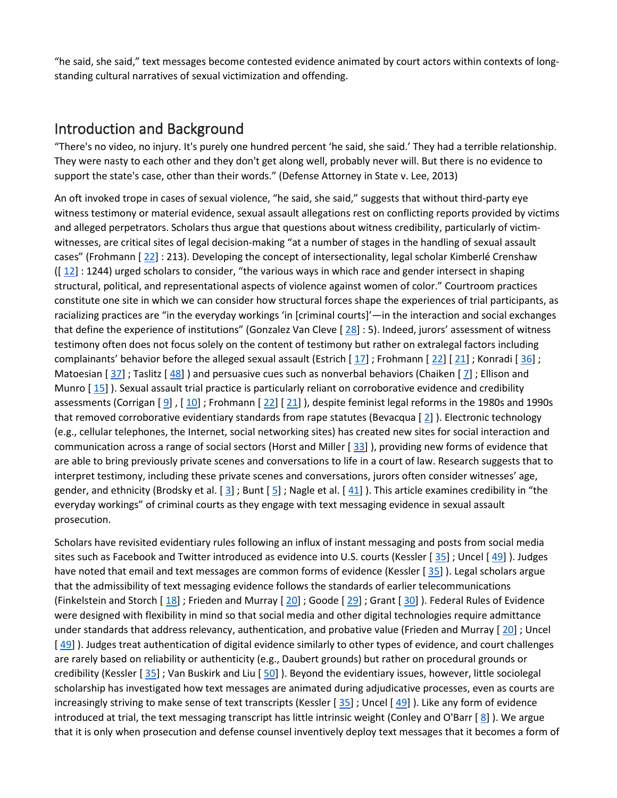"he said, she said," text messages become contested evidence animated by court actors within contexts of longstanding cultural narratives of sexual victimization and offending.

#### Introduction and Background

"There's no video, no injury. It's purely one hundred percent 'he said, she said.' They had a terrible relationship. They were nasty to each other and they don't get along well, probably never will. But there is no evidence to support the state's case, other than their words." (Defense Attorney in State v. Lee, 2013)

An oft invoked trope in cases of sexual violence, "he said, she said," suggests that without third-party eye witness testimony or material evidence, sexual assault allegations rest on conflicting reports provided by victims and alleged perpetrators. Scholars thus argue that questions about witness credibility, particularly of victimwitnesses, are critical sites of legal decision-making "at a number of stages in the handling of sexual assault cases" (Frohmann [ [22\]](https://0-web-b-ebscohost-com.libus.csd.mu.edu/ehost/detail/detail?vid=2&sid=a1f9e709-a899-4c8a-8212-d7889a778fc0%40sessionmgr101&bdata=JnNpdGU9ZWhvc3QtbGl2ZQ%3d%3d#bib22) : 213). Developing the concept of intersectionality, legal scholar Kimberlé Crenshaw  $([12] : 1244)$  $([12] : 1244)$  $([12] : 1244)$  urged scholars to consider, "the various ways in which race and gender intersect in shaping structural, political, and representational aspects of violence against women of color." Courtroom practices constitute one site in which we can consider how structural forces shape the experiences of trial participants, as racializing practices are "in the everyday workings 'in [criminal courts]'—in the interaction and social exchanges that define the experience of institutions" (Gonzalez Van Cleve  $[28]$  $[28]$  : 5). Indeed, jurors' assessment of witness testimony often does not focus solely on the content of testimony but rather on extralegal factors including complainants' behavior before the alleged sexual assault (Estrich  $[17]$  $[17]$ ; Frohmann  $[22]$  $[22]$   $[21]$  $[21]$ ; Konradi  $[36]$  $[36]$ ; Matoesian [[37\]](https://0-web-b-ebscohost-com.libus.csd.mu.edu/ehost/detail/detail?vid=2&sid=a1f9e709-a899-4c8a-8212-d7889a778fc0%40sessionmgr101&bdata=JnNpdGU9ZWhvc3QtbGl2ZQ%3d%3d#bib37); Taslitz [[48\]](https://0-web-b-ebscohost-com.libus.csd.mu.edu/ehost/detail/detail?vid=2&sid=a1f9e709-a899-4c8a-8212-d7889a778fc0%40sessionmgr101&bdata=JnNpdGU9ZWhvc3QtbGl2ZQ%3d%3d#bib48) ) and persuasive cues such as nonverbal behaviors (Chaiken [[7\]](https://0-web-b-ebscohost-com.libus.csd.mu.edu/ehost/detail/detail?vid=2&sid=a1f9e709-a899-4c8a-8212-d7889a778fc0%40sessionmgr101&bdata=JnNpdGU9ZWhvc3QtbGl2ZQ%3d%3d#bib7); Ellison and Munro [ [15\]](https://0-web-b-ebscohost-com.libus.csd.mu.edu/ehost/detail/detail?vid=2&sid=a1f9e709-a899-4c8a-8212-d7889a778fc0%40sessionmgr101&bdata=JnNpdGU9ZWhvc3QtbGl2ZQ%3d%3d#bib15) ). Sexual assault trial practice is particularly reliant on corroborative evidence and credibility assessments (Corrigan  $[9]$  $[9]$ ,  $[10]$  $[10]$ ; Frohmann  $[22]$  $[22]$   $[21]$  $[21]$ ), despite feminist legal reforms in the 1980s and 1990s that removed corroborative evidentiary standards from rape statutes (Bevacqua  $[2]$  $[2]$ ). Electronic technology (e.g., cellular telephones, the Internet, social networking sites) has created new sites for social interaction and communication across a range of social sectors (Horst and Miller [ [33\]](https://0-web-b-ebscohost-com.libus.csd.mu.edu/ehost/detail/detail?vid=2&sid=a1f9e709-a899-4c8a-8212-d7889a778fc0%40sessionmgr101&bdata=JnNpdGU9ZWhvc3QtbGl2ZQ%3d%3d#bib33) ), providing new forms of evidence that are able to bring previously private scenes and conversations to life in a court of law. Research suggests that to interpret testimony, including these private scenes and conversations, jurors often consider witnesses' age, gender, and ethnicity (Brodsky et al.  $[3]$  $[3]$ ; Bunt  $[5]$  $[5]$ ; Nagle et al.  $[41]$  $[41]$ ). This article examines credibility in "the everyday workings" of criminal courts as they engage with text messaging evidence in sexual assault prosecution.

Scholars have revisited evidentiary rules following an influx of instant messaging and posts from social media sites such as Facebook and Twitter introduced as evidence into U.S. courts (Kessler [[35\]](https://0-web-b-ebscohost-com.libus.csd.mu.edu/ehost/detail/detail?vid=2&sid=a1f9e709-a899-4c8a-8212-d7889a778fc0%40sessionmgr101&bdata=JnNpdGU9ZWhvc3QtbGl2ZQ%3d%3d#bib35); Uncel [[49\]](https://0-web-b-ebscohost-com.libus.csd.mu.edu/ehost/detail/detail?vid=2&sid=a1f9e709-a899-4c8a-8212-d7889a778fc0%40sessionmgr101&bdata=JnNpdGU9ZWhvc3QtbGl2ZQ%3d%3d#bib49)). Judges have noted that email and text messages are common forms of evidence (Kessler [[35\]](https://0-web-b-ebscohost-com.libus.csd.mu.edu/ehost/detail/detail?vid=2&sid=a1f9e709-a899-4c8a-8212-d7889a778fc0%40sessionmgr101&bdata=JnNpdGU9ZWhvc3QtbGl2ZQ%3d%3d#bib35)). Legal scholars argue that the admissibility of text messaging evidence follows the standards of earlier telecommunications (Finkelstein and Storch  $[18]$  $[18]$ ; Frieden and Murray  $[20]$  $[20]$ ; Goode  $[29]$  $[29]$ ; Grant  $[30]$  $[30]$ ). Federal Rules of Evidence were designed with flexibility in mind so that social media and other digital technologies require admittance under standards that address relevancy, authentication, and probative value (Frieden and Murray [ [20\]](https://0-web-b-ebscohost-com.libus.csd.mu.edu/ehost/detail/detail?vid=2&sid=a1f9e709-a899-4c8a-8212-d7889a778fc0%40sessionmgr101&bdata=JnNpdGU9ZWhvc3QtbGl2ZQ%3d%3d#bib20) ; Uncel [ [49\]](https://0-web-b-ebscohost-com.libus.csd.mu.edu/ehost/detail/detail?vid=2&sid=a1f9e709-a899-4c8a-8212-d7889a778fc0%40sessionmgr101&bdata=JnNpdGU9ZWhvc3QtbGl2ZQ%3d%3d#bib49) ). Judges treat authentication of digital evidence similarly to other types of evidence, and court challenges are rarely based on reliability or authenticity (e.g., Daubert grounds) but rather on procedural grounds or credibility (Kessler [ [35\]](https://0-web-b-ebscohost-com.libus.csd.mu.edu/ehost/detail/detail?vid=2&sid=a1f9e709-a899-4c8a-8212-d7889a778fc0%40sessionmgr101&bdata=JnNpdGU9ZWhvc3QtbGl2ZQ%3d%3d#bib35) ; Van Buskirk and Liu [ [50\]](https://0-web-b-ebscohost-com.libus.csd.mu.edu/ehost/detail/detail?vid=2&sid=a1f9e709-a899-4c8a-8212-d7889a778fc0%40sessionmgr101&bdata=JnNpdGU9ZWhvc3QtbGl2ZQ%3d%3d#bib50) ). Beyond the evidentiary issues, however, little sociolegal scholarship has investigated how text messages are animated during adjudicative processes, even as courts are increasingly striving to make sense of text transcripts (Kessler  $[35]$  $[35]$ ; Uncel  $[49]$  $[49]$ ). Like any form of evidence introduced at trial, the text messaging transcript has little intrinsic weight (Conley and O'Barr [ [8\]](https://0-web-b-ebscohost-com.libus.csd.mu.edu/ehost/detail/detail?vid=2&sid=a1f9e709-a899-4c8a-8212-d7889a778fc0%40sessionmgr101&bdata=JnNpdGU9ZWhvc3QtbGl2ZQ%3d%3d#bib8) ). We argue that it is only when prosecution and defense counsel inventively deploy text messages that it becomes a form of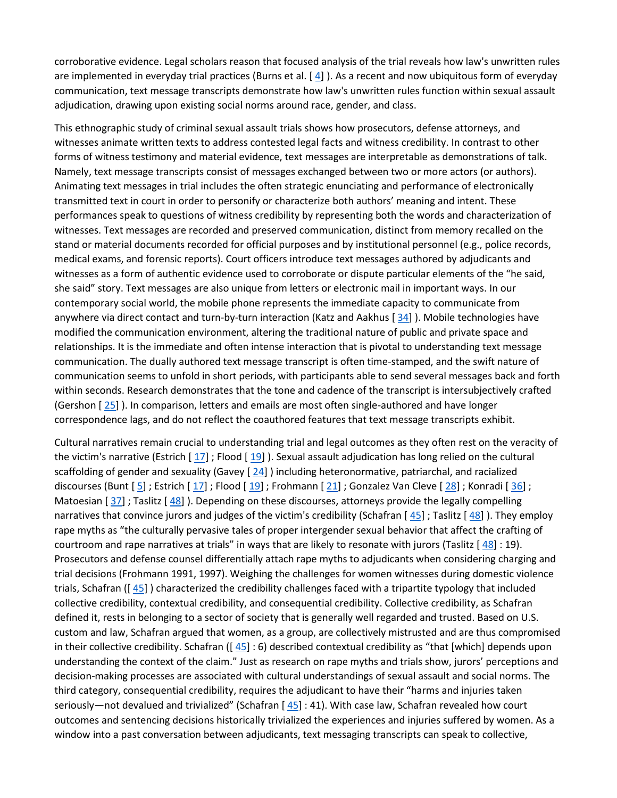corroborative evidence. Legal scholars reason that focused analysis of the trial reveals how law's unwritten rules are implemented in everyday trial practices (Burns et al. [[4\]](https://0-web-b-ebscohost-com.libus.csd.mu.edu/ehost/detail/detail?vid=2&sid=a1f9e709-a899-4c8a-8212-d7889a778fc0%40sessionmgr101&bdata=JnNpdGU9ZWhvc3QtbGl2ZQ%3d%3d#bib4)). As a recent and now ubiquitous form of everyday communication, text message transcripts demonstrate how law's unwritten rules function within sexual assault adjudication, drawing upon existing social norms around race, gender, and class.

This ethnographic study of criminal sexual assault trials shows how prosecutors, defense attorneys, and witnesses animate written texts to address contested legal facts and witness credibility. In contrast to other forms of witness testimony and material evidence, text messages are interpretable as demonstrations of talk. Namely, text message transcripts consist of messages exchanged between two or more actors (or authors). Animating text messages in trial includes the often strategic enunciating and performance of electronically transmitted text in court in order to personify or characterize both authors' meaning and intent. These performances speak to questions of witness credibility by representing both the words and characterization of witnesses. Text messages are recorded and preserved communication, distinct from memory recalled on the stand or material documents recorded for official purposes and by institutional personnel (e.g., police records, medical exams, and forensic reports). Court officers introduce text messages authored by adjudicants and witnesses as a form of authentic evidence used to corroborate or dispute particular elements of the "he said, she said" story. Text messages are also unique from letters or electronic mail in important ways. In our contemporary social world, the mobile phone represents the immediate capacity to communicate from anywhere via direct contact and turn-by-turn interaction (Katz and Aakhus [[34\]](https://0-web-b-ebscohost-com.libus.csd.mu.edu/ehost/detail/detail?vid=2&sid=a1f9e709-a899-4c8a-8212-d7889a778fc0%40sessionmgr101&bdata=JnNpdGU9ZWhvc3QtbGl2ZQ%3d%3d#bib34)). Mobile technologies have modified the communication environment, altering the traditional nature of public and private space and relationships. It is the immediate and often intense interaction that is pivotal to understanding text message communication. The dually authored text message transcript is often time-stamped, and the swift nature of communication seems to unfold in short periods, with participants able to send several messages back and forth within seconds. Research demonstrates that the tone and cadence of the transcript is intersubjectively crafted (Gershon [ [25\]](https://0-web-b-ebscohost-com.libus.csd.mu.edu/ehost/detail/detail?vid=2&sid=a1f9e709-a899-4c8a-8212-d7889a778fc0%40sessionmgr101&bdata=JnNpdGU9ZWhvc3QtbGl2ZQ%3d%3d#bib25) ). In comparison, letters and emails are most often single-authored and have longer correspondence lags, and do not reflect the coauthored features that text message transcripts exhibit.

Cultural narratives remain crucial to understanding trial and legal outcomes as they often rest on the veracity of the victim's narrative (Estrich  $[17]$  $[17]$ ; Flood  $[19]$  $[19]$ ). Sexual assault adjudication has long relied on the cultural scaffolding of gender and sexuality (Gavey  $[24]$  $[24]$ ) including heteronormative, patriarchal, and racialized discourses (Bunt [ [5\]](https://0-web-b-ebscohost-com.libus.csd.mu.edu/ehost/detail/detail?vid=2&sid=a1f9e709-a899-4c8a-8212-d7889a778fc0%40sessionmgr101&bdata=JnNpdGU9ZWhvc3QtbGl2ZQ%3d%3d#bib5) ; Estrich [ [17\]](https://0-web-b-ebscohost-com.libus.csd.mu.edu/ehost/detail/detail?vid=2&sid=a1f9e709-a899-4c8a-8212-d7889a778fc0%40sessionmgr101&bdata=JnNpdGU9ZWhvc3QtbGl2ZQ%3d%3d#bib17) ; Flood [ [19\]](https://0-web-b-ebscohost-com.libus.csd.mu.edu/ehost/detail/detail?vid=2&sid=a1f9e709-a899-4c8a-8212-d7889a778fc0%40sessionmgr101&bdata=JnNpdGU9ZWhvc3QtbGl2ZQ%3d%3d#bib19) ; Frohmann [ [21\]](https://0-web-b-ebscohost-com.libus.csd.mu.edu/ehost/detail/detail?vid=2&sid=a1f9e709-a899-4c8a-8212-d7889a778fc0%40sessionmgr101&bdata=JnNpdGU9ZWhvc3QtbGl2ZQ%3d%3d#bib21) ; Gonzalez Van Cleve [ [28\]](https://0-web-b-ebscohost-com.libus.csd.mu.edu/ehost/detail/detail?vid=2&sid=a1f9e709-a899-4c8a-8212-d7889a778fc0%40sessionmgr101&bdata=JnNpdGU9ZWhvc3QtbGl2ZQ%3d%3d#bib28) ; Konradi [ [36\]](https://0-web-b-ebscohost-com.libus.csd.mu.edu/ehost/detail/detail?vid=2&sid=a1f9e709-a899-4c8a-8212-d7889a778fc0%40sessionmgr101&bdata=JnNpdGU9ZWhvc3QtbGl2ZQ%3d%3d#bib36) ; Matoesian  $[37]$  $[37]$ ; Taslitz  $[48]$  $[48]$ ). Depending on these discourses, attorneys provide the legally compelling narratives that convince jurors and judges of the victim's credibility (Schafran  $[45]$  $[45]$ ; Taslitz  $[48]$  $[48]$ ). They employ rape myths as "the culturally pervasive tales of proper intergender sexual behavior that affect the crafting of courtroom and rape narratives at trials" in ways that are likely to resonate with jurors (Taslitz [ [48\]](https://0-web-b-ebscohost-com.libus.csd.mu.edu/ehost/detail/detail?vid=2&sid=a1f9e709-a899-4c8a-8212-d7889a778fc0%40sessionmgr101&bdata=JnNpdGU9ZWhvc3QtbGl2ZQ%3d%3d#bib48) : 19). Prosecutors and defense counsel differentially attach rape myths to adjudicants when considering charging and trial decisions (Frohmann 1991, 1997). Weighing the challenges for women witnesses during domestic violence trials, Schafran ([ [45\]](https://0-web-b-ebscohost-com.libus.csd.mu.edu/ehost/detail/detail?vid=2&sid=a1f9e709-a899-4c8a-8212-d7889a778fc0%40sessionmgr101&bdata=JnNpdGU9ZWhvc3QtbGl2ZQ%3d%3d#bib45) ) characterized the credibility challenges faced with a tripartite typology that included collective credibility, contextual credibility, and consequential credibility. Collective credibility, as Schafran defined it, rests in belonging to a sector of society that is generally well regarded and trusted. Based on U.S. custom and law, Schafran argued that women, as a group, are collectively mistrusted and are thus compromised in their collective credibility. Schafran ( $[45]$  $[45]$ : 6) described contextual credibility as "that [which] depends upon understanding the context of the claim." Just as research on rape myths and trials show, jurors' perceptions and decision-making processes are associated with cultural understandings of sexual assault and social norms. The third category, consequential credibility, requires the adjudicant to have their "harms and injuries taken seriously—not devalued and trivialized" (Schafran  $[45]$  $[45]$ : 41). With case law, Schafran revealed how court outcomes and sentencing decisions historically trivialized the experiences and injuries suffered by women. As a window into a past conversation between adjudicants, text messaging transcripts can speak to collective,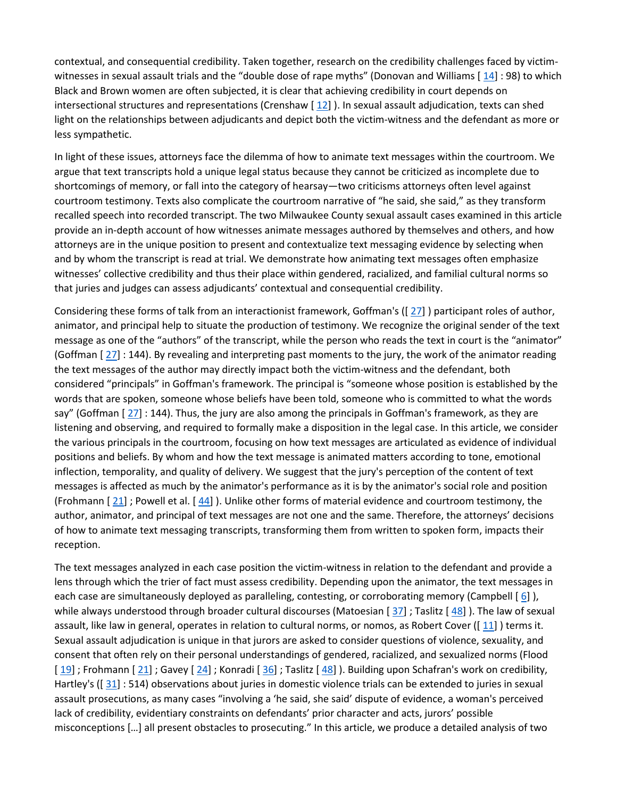contextual, and consequential credibility. Taken together, research on the credibility challenges faced by victim-witnesses in sexual assault trials and the "double dose of rape myths" (Donovan and Williams [[14\]](https://0-web-b-ebscohost-com.libus.csd.mu.edu/ehost/detail/detail?vid=2&sid=a1f9e709-a899-4c8a-8212-d7889a778fc0%40sessionmgr101&bdata=JnNpdGU9ZWhvc3QtbGl2ZQ%3d%3d#bib14) : 98) to which Black and Brown women are often subjected, it is clear that achieving credibility in court depends on intersectional structures and representations (Crenshaw  $[12]$  $[12]$ ). In sexual assault adjudication, texts can shed light on the relationships between adjudicants and depict both the victim-witness and the defendant as more or less sympathetic.

In light of these issues, attorneys face the dilemma of how to animate text messages within the courtroom. We argue that text transcripts hold a unique legal status because they cannot be criticized as incomplete due to shortcomings of memory, or fall into the category of hearsay—two criticisms attorneys often level against courtroom testimony. Texts also complicate the courtroom narrative of "he said, she said," as they transform recalled speech into recorded transcript. The two Milwaukee County sexual assault cases examined in this article provide an in-depth account of how witnesses animate messages authored by themselves and others, and how attorneys are in the unique position to present and contextualize text messaging evidence by selecting when and by whom the transcript is read at trial. We demonstrate how animating text messages often emphasize witnesses' collective credibility and thus their place within gendered, racialized, and familial cultural norms so that juries and judges can assess adjudicants' contextual and consequential credibility.

Considering these forms of talk from an interactionist framework, Goffman's ([ [27\]](https://0-web-b-ebscohost-com.libus.csd.mu.edu/ehost/detail/detail?vid=2&sid=a1f9e709-a899-4c8a-8212-d7889a778fc0%40sessionmgr101&bdata=JnNpdGU9ZWhvc3QtbGl2ZQ%3d%3d#bib27) ) participant roles of author, animator, and principal help to situate the production of testimony. We recognize the original sender of the text message as one of the "authors" of the transcript, while the person who reads the text in court is the "animator" (Goffman [ [27\]](https://0-web-b-ebscohost-com.libus.csd.mu.edu/ehost/detail/detail?vid=2&sid=a1f9e709-a899-4c8a-8212-d7889a778fc0%40sessionmgr101&bdata=JnNpdGU9ZWhvc3QtbGl2ZQ%3d%3d#bib27) : 144). By revealing and interpreting past moments to the jury, the work of the animator reading the text messages of the author may directly impact both the victim-witness and the defendant, both considered "principals" in Goffman's framework. The principal is "someone whose position is established by the words that are spoken, someone whose beliefs have been told, someone who is committed to what the words say" (Goffman  $[27]$  $[27]$ : 144). Thus, the jury are also among the principals in Goffman's framework, as they are listening and observing, and required to formally make a disposition in the legal case. In this article, we consider the various principals in the courtroom, focusing on how text messages are articulated as evidence of individual positions and beliefs. By whom and how the text message is animated matters according to tone, emotional inflection, temporality, and quality of delivery. We suggest that the jury's perception of the content of text messages is affected as much by the animator's performance as it is by the animator's social role and position (Frohmann [ [21\]](https://0-web-b-ebscohost-com.libus.csd.mu.edu/ehost/detail/detail?vid=2&sid=a1f9e709-a899-4c8a-8212-d7889a778fc0%40sessionmgr101&bdata=JnNpdGU9ZWhvc3QtbGl2ZQ%3d%3d#bib21) ; Powell et al. [ [44\]](https://0-web-b-ebscohost-com.libus.csd.mu.edu/ehost/detail/detail?vid=2&sid=a1f9e709-a899-4c8a-8212-d7889a778fc0%40sessionmgr101&bdata=JnNpdGU9ZWhvc3QtbGl2ZQ%3d%3d#bib44) ). Unlike other forms of material evidence and courtroom testimony, the author, animator, and principal of text messages are not one and the same. Therefore, the attorneys' decisions of how to animate text messaging transcripts, transforming them from written to spoken form, impacts their reception.

The text messages analyzed in each case position the victim-witness in relation to the defendant and provide a lens through which the trier of fact must assess credibility. Depending upon the animator, the text messages in each case are simultaneously deployed as paralleling, contesting, or corroborating memory (Campbell  $[6]$  $[6]$ ), while always understood through broader cultural discourses (Matoesian [[37\]](https://0-web-b-ebscohost-com.libus.csd.mu.edu/ehost/detail/detail?vid=2&sid=a1f9e709-a899-4c8a-8212-d7889a778fc0%40sessionmgr101&bdata=JnNpdGU9ZWhvc3QtbGl2ZQ%3d%3d#bib37); Taslitz [[48\]](https://0-web-b-ebscohost-com.libus.csd.mu.edu/ehost/detail/detail?vid=2&sid=a1f9e709-a899-4c8a-8212-d7889a778fc0%40sessionmgr101&bdata=JnNpdGU9ZWhvc3QtbGl2ZQ%3d%3d#bib48)). The law of sexual assault, like law in general, operates in relation to cultural norms, or nomos, as Robert Cover ( $\left[\frac{11}{1}\right]$ ) terms it. Sexual assault adjudication is unique in that jurors are asked to consider questions of violence, sexuality, and consent that often rely on their personal understandings of gendered, racialized, and sexualized norms (Flood  $[19]$  $[19]$ ; Frohmann  $[21]$  $[21]$ ; Gavey  $[24]$  $[24]$ ; Konradi  $[36]$  $[36]$ ; Taslitz  $[48]$  $[48]$ ). Building upon Schafran's work on credibility, Hartley's ( $\left[\frac{31}{1}\right]$ : 514) observations about juries in domestic violence trials can be extended to juries in sexual assault prosecutions, as many cases "involving a 'he said, she said' dispute of evidence, a woman's perceived lack of credibility, evidentiary constraints on defendants' prior character and acts, jurors' possible misconceptions […] all present obstacles to prosecuting." In this article, we produce a detailed analysis of two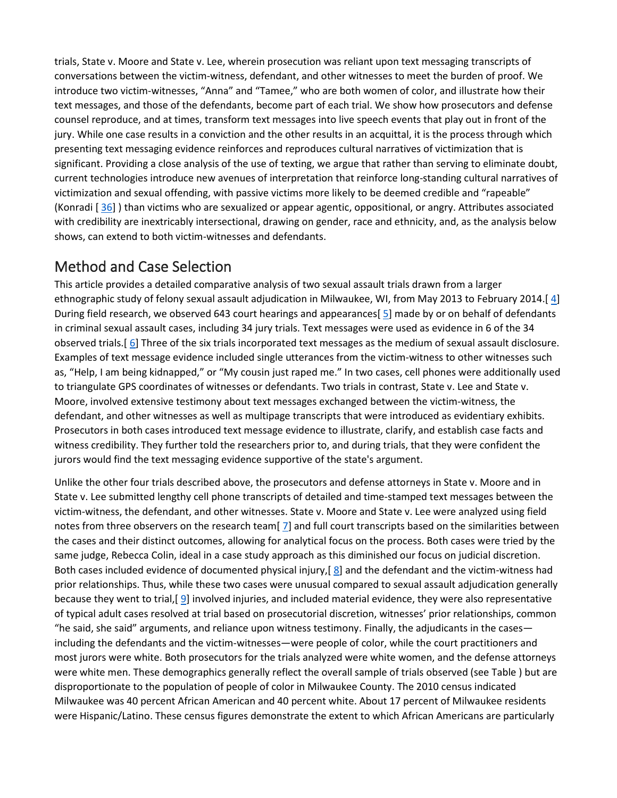trials, State v. Moore and State v. Lee, wherein prosecution was reliant upon text messaging transcripts of conversations between the victim-witness, defendant, and other witnesses to meet the burden of proof. We introduce two victim-witnesses, "Anna" and "Tamee," who are both women of color, and illustrate how their text messages, and those of the defendants, become part of each trial. We show how prosecutors and defense counsel reproduce, and at times, transform text messages into live speech events that play out in front of the jury. While one case results in a conviction and the other results in an acquittal, it is the process through which presenting text messaging evidence reinforces and reproduces cultural narratives of victimization that is significant. Providing a close analysis of the use of texting, we argue that rather than serving to eliminate doubt, current technologies introduce new avenues of interpretation that reinforce long-standing cultural narratives of victimization and sexual offending, with passive victims more likely to be deemed credible and "rapeable" (Konradi [ [36\]](https://0-web-b-ebscohost-com.libus.csd.mu.edu/ehost/detail/detail?vid=2&sid=a1f9e709-a899-4c8a-8212-d7889a778fc0%40sessionmgr101&bdata=JnNpdGU9ZWhvc3QtbGl2ZQ%3d%3d#bib36) ) than victims who are sexualized or appear agentic, oppositional, or angry. Attributes associated with credibility are inextricably intersectional, drawing on gender, race and ethnicity, and, as the analysis below shows, can extend to both victim-witnesses and defendants.

### [Method and Case Selection](https://0-web-b-ebscohost-com.libus.csd.mu.edu/ehost/detail/detail?vid=2&sid=a1f9e709-a899-4c8a-8212-d7889a778fc0%40sessionmgr101&bdata=JnNpdGU9ZWhvc3QtbGl2ZQ%3d%3d#toc)

This article provides a detailed comparative analysis of two sexual assault trials drawn from a larger ethnographic study of felony sexual assault adjudication in Milwaukee, WI, from May 2013 to February 2014.[ [4\]](https://0-web-b-ebscohost-com.libus.csd.mu.edu/ehost/detail/detail?vid=2&sid=a1f9e709-a899-4c8a-8212-d7889a778fc0%40sessionmgr101&bdata=JnNpdGU9ZWhvc3QtbGl2ZQ%3d%3d#bib4) During field research, we observed 643 court hearings and appearances[ [5\]](https://0-web-b-ebscohost-com.libus.csd.mu.edu/ehost/detail/detail?vid=2&sid=a1f9e709-a899-4c8a-8212-d7889a778fc0%40sessionmgr101&bdata=JnNpdGU9ZWhvc3QtbGl2ZQ%3d%3d#bib5) made by or on behalf of defendants in criminal sexual assault cases, including 34 jury trials. Text messages were used as evidence in 6 of the 34 observed trials.[ [6\]](https://0-web-b-ebscohost-com.libus.csd.mu.edu/ehost/detail/detail?vid=2&sid=a1f9e709-a899-4c8a-8212-d7889a778fc0%40sessionmgr101&bdata=JnNpdGU9ZWhvc3QtbGl2ZQ%3d%3d#bib6) Three of the six trials incorporated text messages as the medium of sexual assault disclosure. Examples of text message evidence included single utterances from the victim-witness to other witnesses such as, "Help, I am being kidnapped," or "My cousin just raped me." In two cases, cell phones were additionally used to triangulate GPS coordinates of witnesses or defendants. Two trials in contrast, State v. Lee and State v. Moore, involved extensive testimony about text messages exchanged between the victim-witness, the defendant, and other witnesses as well as multipage transcripts that were introduced as evidentiary exhibits. Prosecutors in both cases introduced text message evidence to illustrate, clarify, and establish case facts and witness credibility. They further told the researchers prior to, and during trials, that they were confident the jurors would find the text messaging evidence supportive of the state's argument.

Unlike the other four trials described above, the prosecutors and defense attorneys in State v. Moore and in State v. Lee submitted lengthy cell phone transcripts of detailed and time-stamped text messages between the victim-witness, the defendant, and other witnesses. State v. Moore and State v. Lee were analyzed using field notes from three observers on the research team[ [7\]](https://0-web-b-ebscohost-com.libus.csd.mu.edu/ehost/detail/detail?vid=2&sid=a1f9e709-a899-4c8a-8212-d7889a778fc0%40sessionmgr101&bdata=JnNpdGU9ZWhvc3QtbGl2ZQ%3d%3d#bib7) and full court transcripts based on the similarities between the cases and their distinct outcomes, allowing for analytical focus on the process. Both cases were tried by the same judge, Rebecca Colin, ideal in a case study approach as this diminished our focus on judicial discretion. Both cases included evidence of documented physical injury,[ [8\]](https://0-web-b-ebscohost-com.libus.csd.mu.edu/ehost/detail/detail?vid=2&sid=a1f9e709-a899-4c8a-8212-d7889a778fc0%40sessionmgr101&bdata=JnNpdGU9ZWhvc3QtbGl2ZQ%3d%3d#bib8) and the defendant and the victim-witness had prior relationships. Thus, while these two cases were unusual compared to sexual assault adjudication generally because they went to trial,[ [9\]](https://0-web-b-ebscohost-com.libus.csd.mu.edu/ehost/detail/detail?vid=2&sid=a1f9e709-a899-4c8a-8212-d7889a778fc0%40sessionmgr101&bdata=JnNpdGU9ZWhvc3QtbGl2ZQ%3d%3d#bib9) involved injuries, and included material evidence, they were also representative of typical adult cases resolved at trial based on prosecutorial discretion, witnesses' prior relationships, common "he said, she said" arguments, and reliance upon witness testimony. Finally, the adjudicants in the cases including the defendants and the victim-witnesses—were people of color, while the court practitioners and most jurors were white. Both prosecutors for the trials analyzed were white women, and the defense attorneys were white men. These demographics generally reflect the overall sample of trials observed (see Table ) but are disproportionate to the population of people of color in Milwaukee County. The 2010 census indicated Milwaukee was 40 percent African American and 40 percent white. About 17 percent of Milwaukee residents were Hispanic/Latino. These census figures demonstrate the extent to which African Americans are particularly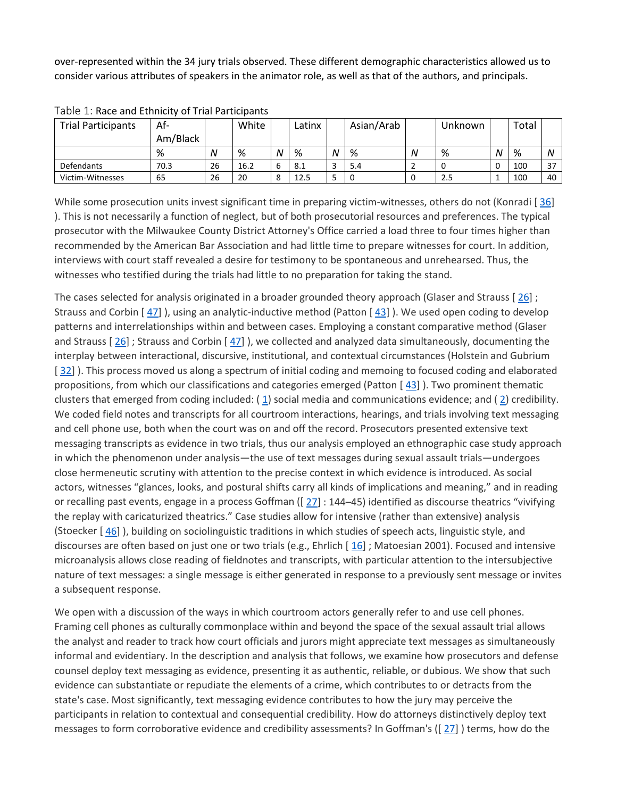over-represented within the 34 jury trials observed. These different demographic characteristics allowed us to consider various attributes of speakers in the animator role, as well as that of the authors, and principals.

| <b>Trial Participants</b> | Af-      |    | White |              | Latinx |   | Asian/Arab |   | Unknown |   | Total |    |
|---------------------------|----------|----|-------|--------------|--------|---|------------|---|---------|---|-------|----|
|                           | Am/Black |    |       |              |        |   |            |   |         |   |       |    |
|                           | %        | Ν  | %     | N            | %      | N | %          | Ν | %       | N | %     | N  |
| <b>Defendants</b>         | 70.3     | 26 | 16.2  | ь            | 8.1    | - | 5.4        |   |         | ◡ | 100   | 37 |
| Victim-Witnesses          | 65       | 26 | 20    | $\circ$<br>Õ | 12.5   |   |            |   | 2.5     |   | 100   | 40 |

Table 1: Race and Ethnicity of Trial Participants

While some prosecution units invest significant time in preparing victim-witnesses, others do not (Konradi [[36\]](https://0-web-b-ebscohost-com.libus.csd.mu.edu/ehost/detail/detail?vid=2&sid=a1f9e709-a899-4c8a-8212-d7889a778fc0%40sessionmgr101&bdata=JnNpdGU9ZWhvc3QtbGl2ZQ%3d%3d#bib36) ). This is not necessarily a function of neglect, but of both prosecutorial resources and preferences. The typical prosecutor with the Milwaukee County District Attorney's Office carried a load three to four times higher than recommended by the American Bar Association and had little time to prepare witnesses for court. In addition, interviews with court staff revealed a desire for testimony to be spontaneous and unrehearsed. Thus, the witnesses who testified during the trials had little to no preparation for taking the stand.

The cases selected for analysis originated in a broader grounded theory approach (Glaser and Strauss [ [26\]](https://0-web-b-ebscohost-com.libus.csd.mu.edu/ehost/detail/detail?vid=2&sid=a1f9e709-a899-4c8a-8212-d7889a778fc0%40sessionmgr101&bdata=JnNpdGU9ZWhvc3QtbGl2ZQ%3d%3d#bib26) ; Strauss and Corbin [ [47\]](https://0-web-b-ebscohost-com.libus.csd.mu.edu/ehost/detail/detail?vid=2&sid=a1f9e709-a899-4c8a-8212-d7889a778fc0%40sessionmgr101&bdata=JnNpdGU9ZWhvc3QtbGl2ZQ%3d%3d#bib47) ), using an analytic-inductive method (Patton [ [43\]](https://0-web-b-ebscohost-com.libus.csd.mu.edu/ehost/detail/detail?vid=2&sid=a1f9e709-a899-4c8a-8212-d7889a778fc0%40sessionmgr101&bdata=JnNpdGU9ZWhvc3QtbGl2ZQ%3d%3d#bib43) ). We used open coding to develop patterns and interrelationships within and between cases. Employing a constant comparative method (Glaser and Strauss [ [26\]](https://0-web-b-ebscohost-com.libus.csd.mu.edu/ehost/detail/detail?vid=2&sid=a1f9e709-a899-4c8a-8212-d7889a778fc0%40sessionmgr101&bdata=JnNpdGU9ZWhvc3QtbGl2ZQ%3d%3d#bib26) ; Strauss and Corbin [ [47\]](https://0-web-b-ebscohost-com.libus.csd.mu.edu/ehost/detail/detail?vid=2&sid=a1f9e709-a899-4c8a-8212-d7889a778fc0%40sessionmgr101&bdata=JnNpdGU9ZWhvc3QtbGl2ZQ%3d%3d#bib47) ), we collected and analyzed data simultaneously, documenting the interplay between interactional, discursive, institutional, and contextual circumstances (Holstein and Gubrium [[32\]](https://0-web-b-ebscohost-com.libus.csd.mu.edu/ehost/detail/detail?vid=2&sid=a1f9e709-a899-4c8a-8212-d7889a778fc0%40sessionmgr101&bdata=JnNpdGU9ZWhvc3QtbGl2ZQ%3d%3d#bib32) ). This process moved us along a spectrum of initial coding and memoing to focused coding and elaborated propositions, from which our classifications and categories emerged (Patton [ [43\]](https://0-web-b-ebscohost-com.libus.csd.mu.edu/ehost/detail/detail?vid=2&sid=a1f9e709-a899-4c8a-8212-d7889a778fc0%40sessionmgr101&bdata=JnNpdGU9ZWhvc3QtbGl2ZQ%3d%3d#bib43) ). Two prominent thematic clusters that emerged from coding included: ( [1\)](https://0-web-b-ebscohost-com.libus.csd.mu.edu/ehost/detail/detail?vid=2&sid=a1f9e709-a899-4c8a-8212-d7889a778fc0%40sessionmgr101&bdata=JnNpdGU9ZWhvc3QtbGl2ZQ%3d%3d#bib1) social media and communications evidence; and ( [2\)](https://0-web-b-ebscohost-com.libus.csd.mu.edu/ehost/detail/detail?vid=2&sid=a1f9e709-a899-4c8a-8212-d7889a778fc0%40sessionmgr101&bdata=JnNpdGU9ZWhvc3QtbGl2ZQ%3d%3d#bib2) credibility. We coded field notes and transcripts for all courtroom interactions, hearings, and trials involving text messaging and cell phone use, both when the court was on and off the record. Prosecutors presented extensive text messaging transcripts as evidence in two trials, thus our analysis employed an ethnographic case study approach in which the phenomenon under analysis—the use of text messages during sexual assault trials—undergoes close hermeneutic scrutiny with attention to the precise context in which evidence is introduced. As social actors, witnesses "glances, looks, and postural shifts carry all kinds of implications and meaning," and in reading or recalling past events, engage in a process Goffman ([[27\]](https://0-web-b-ebscohost-com.libus.csd.mu.edu/ehost/detail/detail?vid=2&sid=a1f9e709-a899-4c8a-8212-d7889a778fc0%40sessionmgr101&bdata=JnNpdGU9ZWhvc3QtbGl2ZQ%3d%3d#bib27) : 144-45) identified as discourse theatrics "vivifying the replay with caricaturized theatrics." Case studies allow for intensive (rather than extensive) analysis (Stoecker [ [46\]](https://0-web-b-ebscohost-com.libus.csd.mu.edu/ehost/detail/detail?vid=2&sid=a1f9e709-a899-4c8a-8212-d7889a778fc0%40sessionmgr101&bdata=JnNpdGU9ZWhvc3QtbGl2ZQ%3d%3d#bib46) ), building on sociolinguistic traditions in which studies of speech acts, linguistic style, and discourses are often based on just one or two trials (e.g., Ehrlich [[16\]](https://0-web-b-ebscohost-com.libus.csd.mu.edu/ehost/detail/detail?vid=2&sid=a1f9e709-a899-4c8a-8212-d7889a778fc0%40sessionmgr101&bdata=JnNpdGU9ZWhvc3QtbGl2ZQ%3d%3d#bib16); Matoesian 2001). Focused and intensive microanalysis allows close reading of fieldnotes and transcripts, with particular attention to the intersubjective nature of text messages: a single message is either generated in response to a previously sent message or invites a subsequent response.

We open with a discussion of the ways in which courtroom actors generally refer to and use cell phones. Framing cell phones as culturally commonplace within and beyond the space of the sexual assault trial allows the analyst and reader to track how court officials and jurors might appreciate text messages as simultaneously informal and evidentiary. In the description and analysis that follows, we examine how prosecutors and defense counsel deploy text messaging as evidence, presenting it as authentic, reliable, or dubious. We show that such evidence can substantiate or repudiate the elements of a crime, which contributes to or detracts from the state's case. Most significantly, text messaging evidence contributes to how the jury may perceive the participants in relation to contextual and consequential credibility. How do attorneys distinctively deploy text messages to form corroborative evidence and credibility assessments? In Goffman's ([ [27\]](https://0-web-b-ebscohost-com.libus.csd.mu.edu/ehost/detail/detail?vid=2&sid=a1f9e709-a899-4c8a-8212-d7889a778fc0%40sessionmgr101&bdata=JnNpdGU9ZWhvc3QtbGl2ZQ%3d%3d#bib27) ) terms, how do the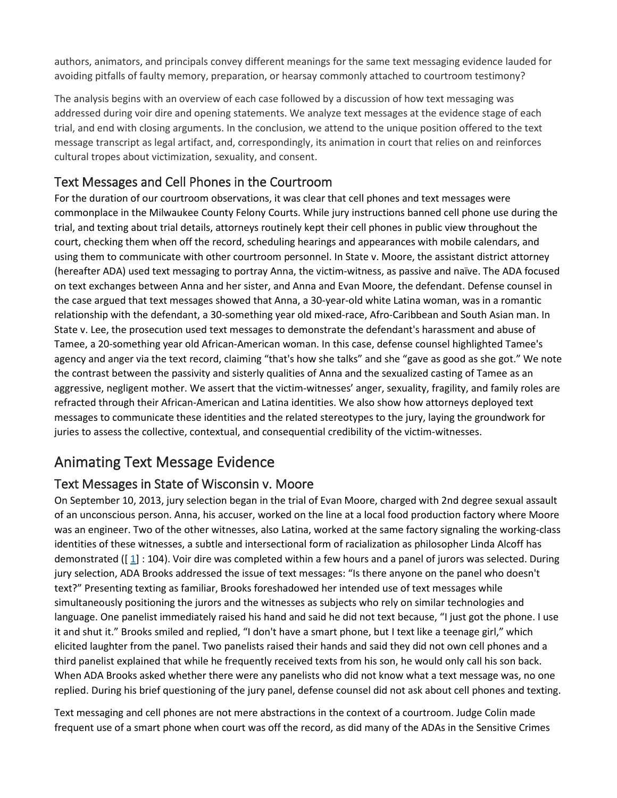authors, animators, and principals convey different meanings for the same text messaging evidence lauded for avoiding pitfalls of faulty memory, preparation, or hearsay commonly attached to courtroom testimony?

The analysis begins with an overview of each case followed by a discussion of how text messaging was addressed during voir dire and opening statements. We analyze text messages at the evidence stage of each trial, and end with closing arguments. In the conclusion, we attend to the unique position offered to the text message transcript as legal artifact, and, correspondingly, its animation in court that relies on and reinforces cultural tropes about victimization, sexuality, and consent.

#### [Text Messages and Cell Phones in the Courtroom](https://0-web-b-ebscohost-com.libus.csd.mu.edu/ehost/detail/detail?vid=2&sid=a1f9e709-a899-4c8a-8212-d7889a778fc0%40sessionmgr101&bdata=JnNpdGU9ZWhvc3QtbGl2ZQ%3d%3d#toc)

For the duration of our courtroom observations, it was clear that cell phones and text messages were commonplace in the Milwaukee County Felony Courts. While jury instructions banned cell phone use during the trial, and texting about trial details, attorneys routinely kept their cell phones in public view throughout the court, checking them when off the record, scheduling hearings and appearances with mobile calendars, and using them to communicate with other courtroom personnel. In State v. Moore, the assistant district attorney (hereafter ADA) used text messaging to portray Anna, the victim-witness, as passive and naïve. The ADA focused on text exchanges between Anna and her sister, and Anna and Evan Moore, the defendant. Defense counsel in the case argued that text messages showed that Anna, a 30-year-old white Latina woman, was in a romantic relationship with the defendant, a 30-something year old mixed-race, Afro-Caribbean and South Asian man. In State v. Lee, the prosecution used text messages to demonstrate the defendant's harassment and abuse of Tamee, a 20-something year old African-American woman. In this case, defense counsel highlighted Tamee's agency and anger via the text record, claiming "that's how she talks" and she "gave as good as she got." We note the contrast between the passivity and sisterly qualities of Anna and the sexualized casting of Tamee as an aggressive, negligent mother. We assert that the victim-witnesses' anger, sexuality, fragility, and family roles are refracted through their African-American and Latina identities. We also show how attorneys deployed text messages to communicate these identities and the related stereotypes to the jury, laying the groundwork for juries to assess the collective, contextual, and consequential credibility of the victim-witnesses.

## [Animating Text Message Evidence](https://0-web-b-ebscohost-com.libus.csd.mu.edu/ehost/detail/detail?vid=2&sid=a1f9e709-a899-4c8a-8212-d7889a778fc0%40sessionmgr101&bdata=JnNpdGU9ZWhvc3QtbGl2ZQ%3d%3d#toc)

#### [Text Messages in State of Wisconsin v. Moore](https://0-web-b-ebscohost-com.libus.csd.mu.edu/ehost/detail/detail?vid=2&sid=a1f9e709-a899-4c8a-8212-d7889a778fc0%40sessionmgr101&bdata=JnNpdGU9ZWhvc3QtbGl2ZQ%3d%3d#toc)

On September 10, 2013, jury selection began in the trial of Evan Moore, charged with 2nd degree sexual assault of an unconscious person. Anna, his accuser, worked on the line at a local food production factory where Moore was an engineer. Two of the other witnesses, also Latina, worked at the same factory signaling the working-class identities of these witnesses, a subtle and intersectional form of racialization as philosopher Linda Alcoff has demonstrated ( $[1]$  $[1]$  : 104). Voir dire was completed within a few hours and a panel of jurors was selected. During jury selection, ADA Brooks addressed the issue of text messages: "Is there anyone on the panel who doesn't text?" Presenting texting as familiar, Brooks foreshadowed her intended use of text messages while simultaneously positioning the jurors and the witnesses as subjects who rely on similar technologies and language. One panelist immediately raised his hand and said he did not text because, "I just got the phone. I use it and shut it." Brooks smiled and replied, "I don't have a smart phone, but I text like a teenage girl," which elicited laughter from the panel. Two panelists raised their hands and said they did not own cell phones and a third panelist explained that while he frequently received texts from his son, he would only call his son back. When ADA Brooks asked whether there were any panelists who did not know what a text message was, no one replied. During his brief questioning of the jury panel, defense counsel did not ask about cell phones and texting.

Text messaging and cell phones are not mere abstractions in the context of a courtroom. Judge Colin made frequent use of a smart phone when court was off the record, as did many of the ADAs in the Sensitive Crimes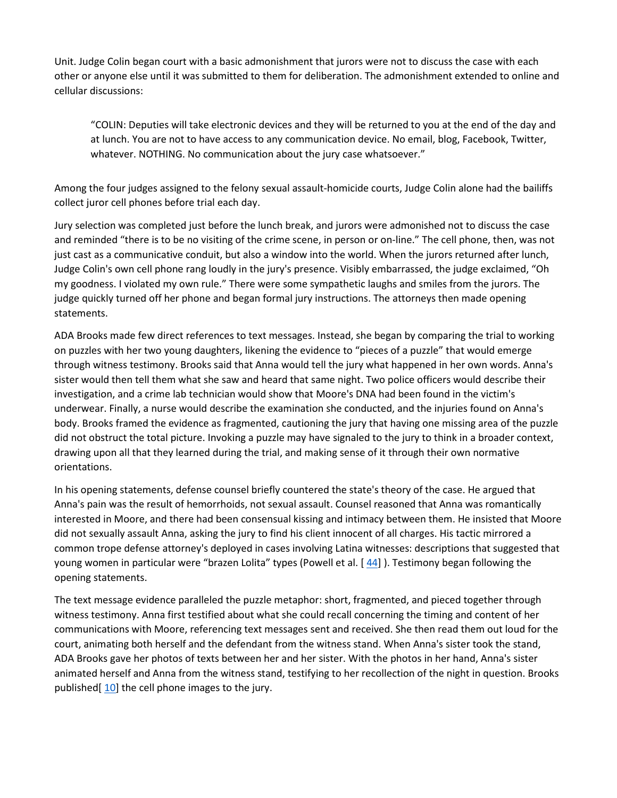Unit. Judge Colin began court with a basic admonishment that jurors were not to discuss the case with each other or anyone else until it was submitted to them for deliberation. The admonishment extended to online and cellular discussions:

"COLIN: Deputies will take electronic devices and they will be returned to you at the end of the day and at lunch. You are not to have access to any communication device. No email, blog, Facebook, Twitter, whatever. NOTHING. No communication about the jury case whatsoever."

Among the four judges assigned to the felony sexual assault-homicide courts, Judge Colin alone had the bailiffs collect juror cell phones before trial each day.

Jury selection was completed just before the lunch break, and jurors were admonished not to discuss the case and reminded "there is to be no visiting of the crime scene, in person or on-line." The cell phone, then, was not just cast as a communicative conduit, but also a window into the world. When the jurors returned after lunch, Judge Colin's own cell phone rang loudly in the jury's presence. Visibly embarrassed, the judge exclaimed, "Oh my goodness. I violated my own rule." There were some sympathetic laughs and smiles from the jurors. The judge quickly turned off her phone and began formal jury instructions. The attorneys then made opening statements.

ADA Brooks made few direct references to text messages. Instead, she began by comparing the trial to working on puzzles with her two young daughters, likening the evidence to "pieces of a puzzle" that would emerge through witness testimony. Brooks said that Anna would tell the jury what happened in her own words. Anna's sister would then tell them what she saw and heard that same night. Two police officers would describe their investigation, and a crime lab technician would show that Moore's DNA had been found in the victim's underwear. Finally, a nurse would describe the examination she conducted, and the injuries found on Anna's body. Brooks framed the evidence as fragmented, cautioning the jury that having one missing area of the puzzle did not obstruct the total picture. Invoking a puzzle may have signaled to the jury to think in a broader context, drawing upon all that they learned during the trial, and making sense of it through their own normative orientations.

In his opening statements, defense counsel briefly countered the state's theory of the case. He argued that Anna's pain was the result of hemorrhoids, not sexual assault. Counsel reasoned that Anna was romantically interested in Moore, and there had been consensual kissing and intimacy between them. He insisted that Moore did not sexually assault Anna, asking the jury to find his client innocent of all charges. His tactic mirrored a common trope defense attorney's deployed in cases involving Latina witnesses: descriptions that suggested that young women in particular were "brazen Lolita" types (Powell et al. [ [44\]](https://0-web-b-ebscohost-com.libus.csd.mu.edu/ehost/detail/detail?vid=2&sid=a1f9e709-a899-4c8a-8212-d7889a778fc0%40sessionmgr101&bdata=JnNpdGU9ZWhvc3QtbGl2ZQ%3d%3d#bib44) ). Testimony began following the opening statements.

The text message evidence paralleled the puzzle metaphor: short, fragmented, and pieced together through witness testimony. Anna first testified about what she could recall concerning the timing and content of her communications with Moore, referencing text messages sent and received. She then read them out loud for the court, animating both herself and the defendant from the witness stand. When Anna's sister took the stand, ADA Brooks gave her photos of texts between her and her sister. With the photos in her hand, Anna's sister animated herself and Anna from the witness stand, testifying to her recollection of the night in question. Brooks published[ [10\]](https://0-web-b-ebscohost-com.libus.csd.mu.edu/ehost/detail/detail?vid=2&sid=a1f9e709-a899-4c8a-8212-d7889a778fc0%40sessionmgr101&bdata=JnNpdGU9ZWhvc3QtbGl2ZQ%3d%3d#bib10) the cell phone images to the jury.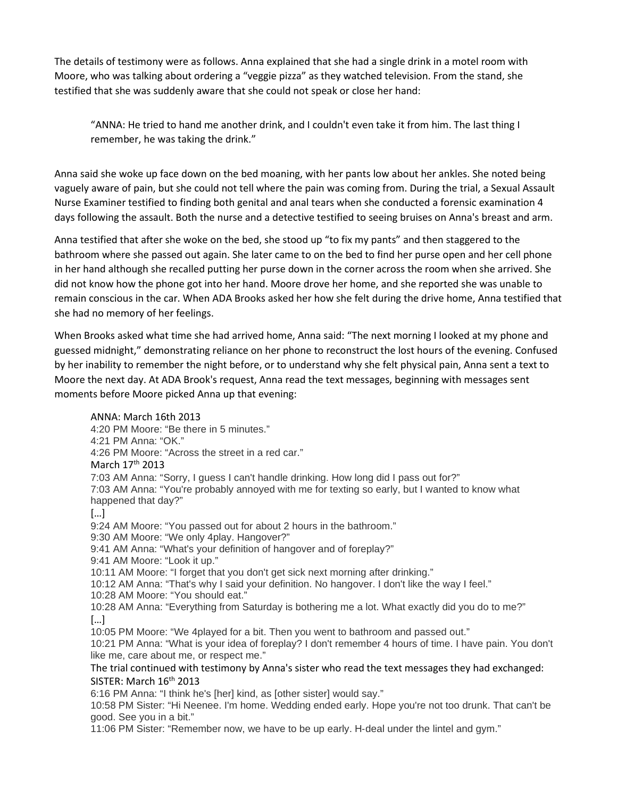The details of testimony were as follows. Anna explained that she had a single drink in a motel room with Moore, who was talking about ordering a "veggie pizza" as they watched television. From the stand, she testified that she was suddenly aware that she could not speak or close her hand:

"ANNA: He tried to hand me another drink, and I couldn't even take it from him. The last thing I remember, he was taking the drink."

Anna said she woke up face down on the bed moaning, with her pants low about her ankles. She noted being vaguely aware of pain, but she could not tell where the pain was coming from. During the trial, a Sexual Assault Nurse Examiner testified to finding both genital and anal tears when she conducted a forensic examination 4 days following the assault. Both the nurse and a detective testified to seeing bruises on Anna's breast and arm.

Anna testified that after she woke on the bed, she stood up "to fix my pants" and then staggered to the bathroom where she passed out again. She later came to on the bed to find her purse open and her cell phone in her hand although she recalled putting her purse down in the corner across the room when she arrived. She did not know how the phone got into her hand. Moore drove her home, and she reported she was unable to remain conscious in the car. When ADA Brooks asked her how she felt during the drive home, Anna testified that she had no memory of her feelings.

When Brooks asked what time she had arrived home, Anna said: "The next morning I looked at my phone and guessed midnight," demonstrating reliance on her phone to reconstruct the lost hours of the evening. Confused by her inability to remember the night before, or to understand why she felt physical pain, Anna sent a text to Moore the next day. At ADA Brook's request, Anna read the text messages, beginning with messages sent moments before Moore picked Anna up that evening:

ANNA: March 16th 2013 4:20 PM Moore: "Be there in 5 minutes." 4:21 PM Anna: "OK." 4:26 PM Moore: "Across the street in a red car." March 17<sup>th</sup> 2013 7:03 AM Anna: "Sorry, I guess I can't handle drinking. How long did I pass out for?" 7:03 AM Anna: "You're probably annoyed with me for texting so early, but I wanted to know what happened that day?" […] 9:24 AM Moore: "You passed out for about 2 hours in the bathroom." 9:30 AM Moore: "We only 4play. Hangover?" 9:41 AM Anna: "What's your definition of hangover and of foreplay?" 9:41 AM Moore: "Look it up." 10:11 AM Moore: "I forget that you don't get sick next morning after drinking." 10:12 AM Anna: "That's why I said your definition. No hangover. I don't like the way I feel." 10:28 AM Moore: "You should eat." 10:28 AM Anna: "Everything from Saturday is bothering me a lot. What exactly did you do to me?" […] 10:05 PM Moore: "We 4played for a bit. Then you went to bathroom and passed out." 10:21 PM Anna: "What is your idea of foreplay? I don't remember 4 hours of time. I have pain. You don't like me, care about me, or respect me." The trial continued with testimony by Anna's sister who read the text messages they had exchanged: SISTER: March 16<sup>th</sup> 2013 6:16 PM Anna: "I think he's [her] kind, as [other sister] would say." 10:58 PM Sister: "Hi Neenee. I'm home. Wedding ended early. Hope you're not too drunk. That can't be good. See you in a bit." 11:06 PM Sister: "Remember now, we have to be up early. H‐deal under the lintel and gym."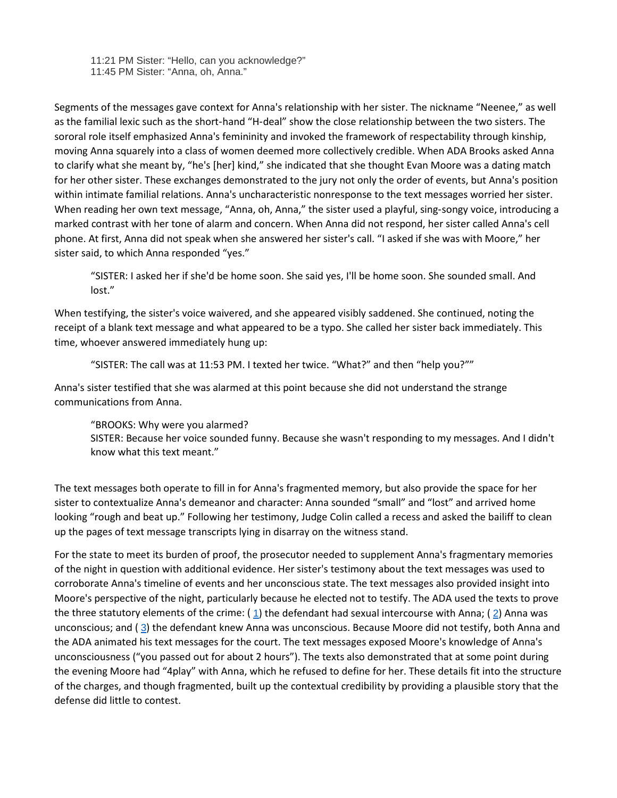11:21 PM Sister: "Hello, can you acknowledge?" 11:45 PM Sister: "Anna, oh, Anna."

Segments of the messages gave context for Anna's relationship with her sister. The nickname "Neenee," as well as the familial lexic such as the short‐hand "H‐deal" show the close relationship between the two sisters. The sororal role itself emphasized Anna's femininity and invoked the framework of respectability through kinship, moving Anna squarely into a class of women deemed more collectively credible. When ADA Brooks asked Anna to clarify what she meant by, "he's [her] kind," she indicated that she thought Evan Moore was a dating match for her other sister. These exchanges demonstrated to the jury not only the order of events, but Anna's position within intimate familial relations. Anna's uncharacteristic nonresponse to the text messages worried her sister. When reading her own text message, "Anna, oh, Anna," the sister used a playful, sing-songy voice, introducing a marked contrast with her tone of alarm and concern. When Anna did not respond, her sister called Anna's cell phone. At first, Anna did not speak when she answered her sister's call. "I asked if she was with Moore," her sister said, to which Anna responded "yes."

"SISTER: I asked her if she'd be home soon. She said yes, I'll be home soon. She sounded small. And lost."

When testifying, the sister's voice waivered, and she appeared visibly saddened. She continued, noting the receipt of a blank text message and what appeared to be a typo. She called her sister back immediately. This time, whoever answered immediately hung up:

"SISTER: The call was at 11:53 PM. I texted her twice. "What?" and then "help you?""

Anna's sister testified that she was alarmed at this point because she did not understand the strange communications from Anna.

"BROOKS: Why were you alarmed?

SISTER: Because her voice sounded funny. Because she wasn't responding to my messages. And I didn't know what this text meant."

The text messages both operate to fill in for Anna's fragmented memory, but also provide the space for her sister to contextualize Anna's demeanor and character: Anna sounded "small" and "lost" and arrived home looking "rough and beat up." Following her testimony, Judge Colin called a recess and asked the bailiff to clean up the pages of text message transcripts lying in disarray on the witness stand.

For the state to meet its burden of proof, the prosecutor needed to supplement Anna's fragmentary memories of the night in question with additional evidence. Her sister's testimony about the text messages was used to corroborate Anna's timeline of events and her unconscious state. The text messages also provided insight into Moore's perspective of the night, particularly because he elected not to testify. The ADA used the texts to prove the three statutory elements of the crime:  $(1)$  $(1)$  $(1)$  the defendant had sexual intercourse with Anna; ([2](https://0-web-b-ebscohost-com.libus.csd.mu.edu/ehost/detail/detail?vid=2&sid=a1f9e709-a899-4c8a-8212-d7889a778fc0%40sessionmgr101&bdata=JnNpdGU9ZWhvc3QtbGl2ZQ%3d%3d#bib2)) Anna was unconscious; and  $(3)$  $(3)$  $(3)$  the defendant knew Anna was unconscious. Because Moore did not testify, both Anna and the ADA animated his text messages for the court. The text messages exposed Moore's knowledge of Anna's unconsciousness ("you passed out for about 2 hours"). The texts also demonstrated that at some point during the evening Moore had "4play" with Anna, which he refused to define for her. These details fit into the structure of the charges, and though fragmented, built up the contextual credibility by providing a plausible story that the defense did little to contest.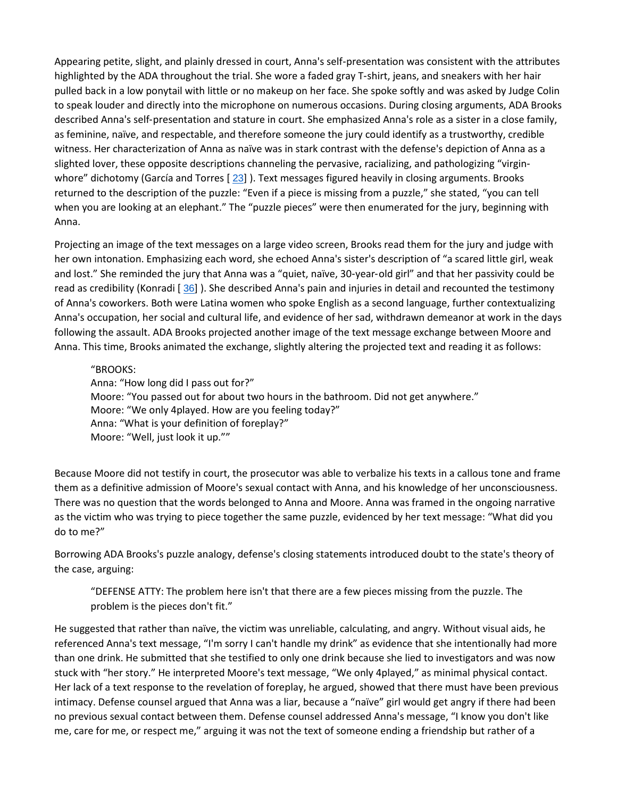Appearing petite, slight, and plainly dressed in court, Anna's self‐presentation was consistent with the attributes highlighted by the ADA throughout the trial. She wore a faded gray T‐shirt, jeans, and sneakers with her hair pulled back in a low ponytail with little or no makeup on her face. She spoke softly and was asked by Judge Colin to speak louder and directly into the microphone on numerous occasions. During closing arguments, ADA Brooks described Anna's self‐presentation and stature in court. She emphasized Anna's role as a sister in a close family, as feminine, naïve, and respectable, and therefore someone the jury could identify as a trustworthy, credible witness. Her characterization of Anna as naïve was in stark contrast with the defense's depiction of Anna as a slighted lover, these opposite descriptions channeling the pervasive, racializing, and pathologizing "virgin‐ whore" dichotomy (García and Torres [ [23](https://0-web-b-ebscohost-com.libus.csd.mu.edu/ehost/detail/detail?vid=2&sid=a1f9e709-a899-4c8a-8212-d7889a778fc0%40sessionmgr101&bdata=JnNpdGU9ZWhvc3QtbGl2ZQ%3d%3d#bib23)] ). Text messages figured heavily in closing arguments. Brooks returned to the description of the puzzle: "Even if a piece is missing from a puzzle," she stated, "you can tell when you are looking at an elephant." The "puzzle pieces" were then enumerated for the jury, beginning with Anna.

Projecting an image of the text messages on a large video screen, Brooks read them for the jury and judge with her own intonation. Emphasizing each word, she echoed Anna's sister's description of "a scared little girl, weak and lost." She reminded the jury that Anna was a "quiet, naïve, 30‐year‐old girl" and that her passivity could be read as credibility (Konradi [ [36](https://0-web-b-ebscohost-com.libus.csd.mu.edu/ehost/detail/detail?vid=2&sid=a1f9e709-a899-4c8a-8212-d7889a778fc0%40sessionmgr101&bdata=JnNpdGU9ZWhvc3QtbGl2ZQ%3d%3d#bib36)] ). She described Anna's pain and injuries in detail and recounted the testimony of Anna's coworkers. Both were Latina women who spoke English as a second language, further contextualizing Anna's occupation, her social and cultural life, and evidence of her sad, withdrawn demeanor at work in the days following the assault. ADA Brooks projected another image of the text message exchange between Moore and Anna. This time, Brooks animated the exchange, slightly altering the projected text and reading it as follows:

#### "BROOKS:

Anna: "How long did I pass out for?" Moore: "You passed out for about two hours in the bathroom. Did not get anywhere." Moore: "We only 4played. How are you feeling today?" Anna: "What is your definition of foreplay?" Moore: "Well, just look it up.""

Because Moore did not testify in court, the prosecutor was able to verbalize his texts in a callous tone and frame them as a definitive admission of Moore's sexual contact with Anna, and his knowledge of her unconsciousness. There was no question that the words belonged to Anna and Moore. Anna was framed in the ongoing narrative as the victim who was trying to piece together the same puzzle, evidenced by her text message: "What did you do to me?"

Borrowing ADA Brooks's puzzle analogy, defense's closing statements introduced doubt to the state's theory of the case, arguing:

"DEFENSE ATTY: The problem here isn't that there are a few pieces missing from the puzzle. The problem is the pieces don't fit."

He suggested that rather than naïve, the victim was unreliable, calculating, and angry. Without visual aids, he referenced Anna's text message, "I'm sorry I can't handle my drink" as evidence that she intentionally had more than one drink. He submitted that she testified to only one drink because she lied to investigators and was now stuck with "her story." He interpreted Moore's text message, "We only 4played," as minimal physical contact. Her lack of a text response to the revelation of foreplay, he argued, showed that there must have been previous intimacy. Defense counsel argued that Anna was a liar, because a "naïve" girl would get angry if there had been no previous sexual contact between them. Defense counsel addressed Anna's message, "I know you don't like me, care for me, or respect me," arguing it was not the text of someone ending a friendship but rather of a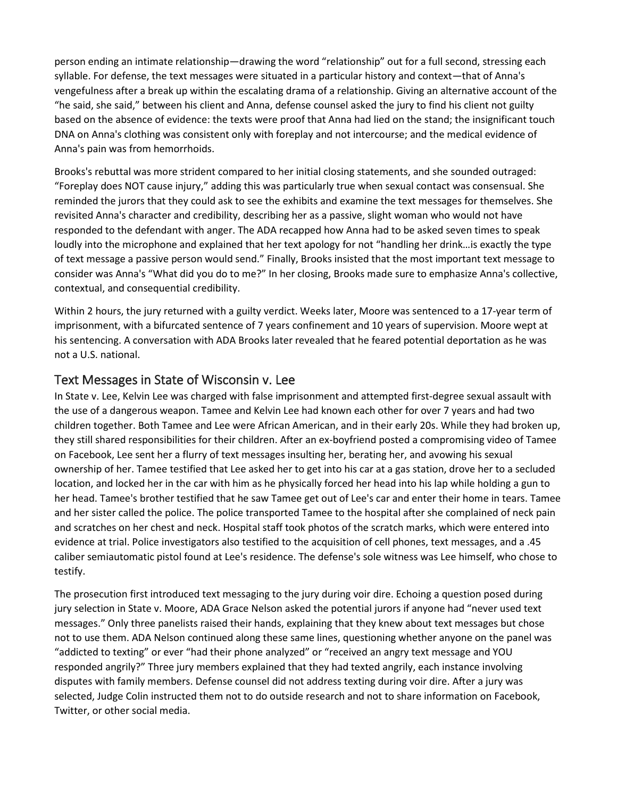person ending an intimate relationship—drawing the word "relationship" out for a full second, stressing each syllable. For defense, the text messages were situated in a particular history and context—that of Anna's vengefulness after a break up within the escalating drama of a relationship. Giving an alternative account of the "he said, she said," between his client and Anna, defense counsel asked the jury to find his client not guilty based on the absence of evidence: the texts were proof that Anna had lied on the stand; the insignificant touch DNA on Anna's clothing was consistent only with foreplay and not intercourse; and the medical evidence of Anna's pain was from hemorrhoids.

Brooks's rebuttal was more strident compared to her initial closing statements, and she sounded outraged: "Foreplay does NOT cause injury," adding this was particularly true when sexual contact was consensual. She reminded the jurors that they could ask to see the exhibits and examine the text messages for themselves. She revisited Anna's character and credibility, describing her as a passive, slight woman who would not have responded to the defendant with anger. The ADA recapped how Anna had to be asked seven times to speak loudly into the microphone and explained that her text apology for not "handling her drink…is exactly the type of text message a passive person would send." Finally, Brooks insisted that the most important text message to consider was Anna's "What did you do to me?" In her closing, Brooks made sure to emphasize Anna's collective, contextual, and consequential credibility.

Within 2 hours, the jury returned with a guilty verdict. Weeks later, Moore was sentenced to a 17-year term of imprisonment, with a bifurcated sentence of 7 years confinement and 10 years of supervision. Moore wept at his sentencing. A conversation with ADA Brooks later revealed that he feared potential deportation as he was not a U.S. national.

#### [Text Messages in State of Wisconsin v. Lee](https://0-web-b-ebscohost-com.libus.csd.mu.edu/ehost/detail/detail?vid=2&sid=a1f9e709-a899-4c8a-8212-d7889a778fc0%40sessionmgr101&bdata=JnNpdGU9ZWhvc3QtbGl2ZQ%3d%3d#toc)

In State v. Lee, Kelvin Lee was charged with false imprisonment and attempted first-degree sexual assault with the use of a dangerous weapon. Tamee and Kelvin Lee had known each other for over 7 years and had two children together. Both Tamee and Lee were African American, and in their early 20s. While they had broken up, they still shared responsibilities for their children. After an ex-boyfriend posted a compromising video of Tamee on Facebook, Lee sent her a flurry of text messages insulting her, berating her, and avowing his sexual ownership of her. Tamee testified that Lee asked her to get into his car at a gas station, drove her to a secluded location, and locked her in the car with him as he physically forced her head into his lap while holding a gun to her head. Tamee's brother testified that he saw Tamee get out of Lee's car and enter their home in tears. Tamee and her sister called the police. The police transported Tamee to the hospital after she complained of neck pain and scratches on her chest and neck. Hospital staff took photos of the scratch marks, which were entered into evidence at trial. Police investigators also testified to the acquisition of cell phones, text messages, and a .45 caliber semiautomatic pistol found at Lee's residence. The defense's sole witness was Lee himself, who chose to testify.

The prosecution first introduced text messaging to the jury during voir dire. Echoing a question posed during jury selection in State v. Moore, ADA Grace Nelson asked the potential jurors if anyone had "never used text messages." Only three panelists raised their hands, explaining that they knew about text messages but chose not to use them. ADA Nelson continued along these same lines, questioning whether anyone on the panel was "addicted to texting" or ever "had their phone analyzed" or "received an angry text message and YOU responded angrily?" Three jury members explained that they had texted angrily, each instance involving disputes with family members. Defense counsel did not address texting during voir dire. After a jury was selected, Judge Colin instructed them not to do outside research and not to share information on Facebook, Twitter, or other social media.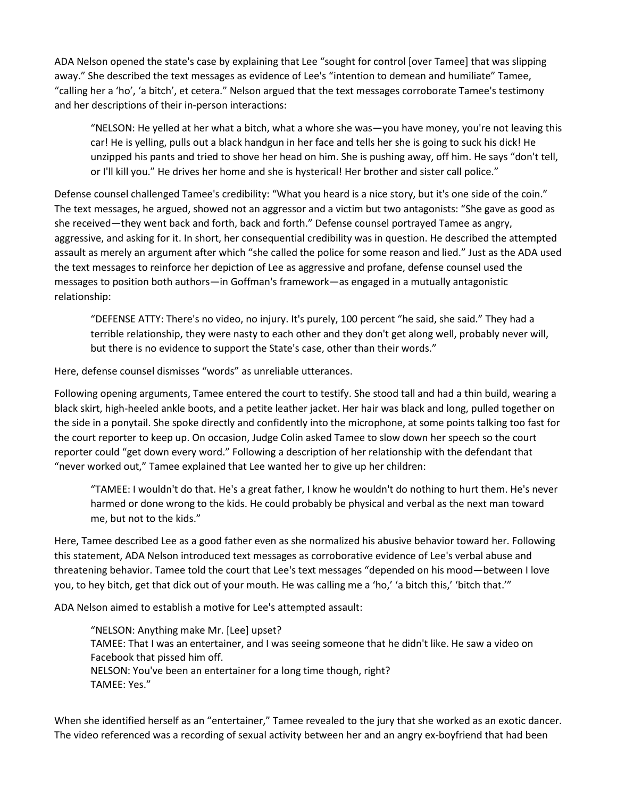ADA Nelson opened the state's case by explaining that Lee "sought for control [over Tamee] that was slipping away." She described the text messages as evidence of Lee's "intention to demean and humiliate" Tamee, "calling her a 'ho', 'a bitch', et cetera." Nelson argued that the text messages corroborate Tamee's testimony and her descriptions of their in-person interactions:

"NELSON: He yelled at her what a bitch, what a whore she was—you have money, you're not leaving this car! He is yelling, pulls out a black handgun in her face and tells her she is going to suck his dick! He unzipped his pants and tried to shove her head on him. She is pushing away, off him. He says "don't tell, or I'll kill you." He drives her home and she is hysterical! Her brother and sister call police."

Defense counsel challenged Tamee's credibility: "What you heard is a nice story, but it's one side of the coin." The text messages, he argued, showed not an aggressor and a victim but two antagonists: "She gave as good as she received—they went back and forth, back and forth." Defense counsel portrayed Tamee as angry, aggressive, and asking for it. In short, her consequential credibility was in question. He described the attempted assault as merely an argument after which "she called the police for some reason and lied." Just as the ADA used the text messages to reinforce her depiction of Lee as aggressive and profane, defense counsel used the messages to position both authors—in Goffman's framework—as engaged in a mutually antagonistic relationship:

"DEFENSE ATTY: There's no video, no injury. It's purely, 100 percent "he said, she said." They had a terrible relationship, they were nasty to each other and they don't get along well, probably never will, but there is no evidence to support the State's case, other than their words."

Here, defense counsel dismisses "words" as unreliable utterances.

Following opening arguments, Tamee entered the court to testify. She stood tall and had a thin build, wearing a black skirt, high-heeled ankle boots, and a petite leather jacket. Her hair was black and long, pulled together on the side in a ponytail. She spoke directly and confidently into the microphone, at some points talking too fast for the court reporter to keep up. On occasion, Judge Colin asked Tamee to slow down her speech so the court reporter could "get down every word." Following a description of her relationship with the defendant that "never worked out," Tamee explained that Lee wanted her to give up her children:

"TAMEE: I wouldn't do that. He's a great father, I know he wouldn't do nothing to hurt them. He's never harmed or done wrong to the kids. He could probably be physical and verbal as the next man toward me, but not to the kids."

Here, Tamee described Lee as a good father even as she normalized his abusive behavior toward her. Following this statement, ADA Nelson introduced text messages as corroborative evidence of Lee's verbal abuse and threatening behavior. Tamee told the court that Lee's text messages "depended on his mood—between I love you, to hey bitch, get that dick out of your mouth. He was calling me a 'ho,' 'a bitch this,' 'bitch that.'"

ADA Nelson aimed to establish a motive for Lee's attempted assault:

"NELSON: Anything make Mr. [Lee] upset? TAMEE: That I was an entertainer, and I was seeing someone that he didn't like. He saw a video on Facebook that pissed him off. NELSON: You've been an entertainer for a long time though, right? TAMEE: Yes."

When she identified herself as an "entertainer," Tamee revealed to the jury that she worked as an exotic dancer. The video referenced was a recording of sexual activity between her and an angry ex-boyfriend that had been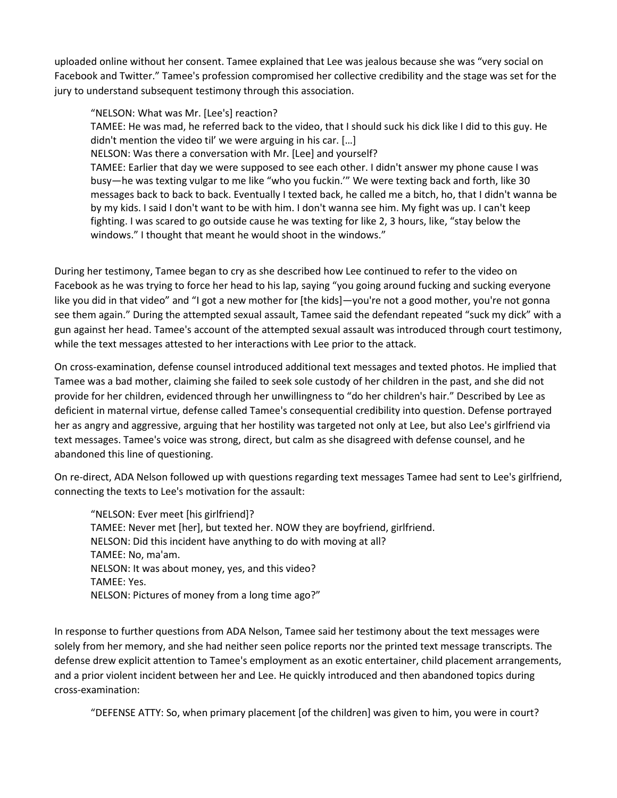uploaded online without her consent. Tamee explained that Lee was jealous because she was "very social on Facebook and Twitter." Tamee's profession compromised her collective credibility and the stage was set for the jury to understand subsequent testimony through this association.

"NELSON: What was Mr. [Lee's] reaction?

TAMEE: He was mad, he referred back to the video, that I should suck his dick like I did to this guy. He didn't mention the video til' we were arguing in his car. […]

NELSON: Was there a conversation with Mr. [Lee] and yourself?

TAMEE: Earlier that day we were supposed to see each other. I didn't answer my phone cause I was busy—he was texting vulgar to me like "who you fuckin.'" We were texting back and forth, like 30 messages back to back to back. Eventually I texted back, he called me a bitch, ho, that I didn't wanna be by my kids. I said I don't want to be with him. I don't wanna see him. My fight was up. I can't keep fighting. I was scared to go outside cause he was texting for like 2, 3 hours, like, "stay below the windows." I thought that meant he would shoot in the windows."

During her testimony, Tamee began to cry as she described how Lee continued to refer to the video on Facebook as he was trying to force her head to his lap, saying "you going around fucking and sucking everyone like you did in that video" and "I got a new mother for [the kids]—you're not a good mother, you're not gonna see them again." During the attempted sexual assault, Tamee said the defendant repeated "suck my dick" with a gun against her head. Tamee's account of the attempted sexual assault was introduced through court testimony, while the text messages attested to her interactions with Lee prior to the attack.

On cross-examination, defense counsel introduced additional text messages and texted photos. He implied that Tamee was a bad mother, claiming she failed to seek sole custody of her children in the past, and she did not provide for her children, evidenced through her unwillingness to "do her children's hair." Described by Lee as deficient in maternal virtue, defense called Tamee's consequential credibility into question. Defense portrayed her as angry and aggressive, arguing that her hostility was targeted not only at Lee, but also Lee's girlfriend via text messages. Tamee's voice was strong, direct, but calm as she disagreed with defense counsel, and he abandoned this line of questioning.

On re-direct, ADA Nelson followed up with questions regarding text messages Tamee had sent to Lee's girlfriend, connecting the texts to Lee's motivation for the assault:

"NELSON: Ever meet [his girlfriend]? TAMEE: Never met [her], but texted her. NOW they are boyfriend, girlfriend. NELSON: Did this incident have anything to do with moving at all? TAMEE: No, ma'am. NELSON: It was about money, yes, and this video? TAMEE: Yes. NELSON: Pictures of money from a long time ago?"

In response to further questions from ADA Nelson, Tamee said her testimony about the text messages were solely from her memory, and she had neither seen police reports nor the printed text message transcripts. The defense drew explicit attention to Tamee's employment as an exotic entertainer, child placement arrangements, and a prior violent incident between her and Lee. He quickly introduced and then abandoned topics during cross-examination:

"DEFENSE ATTY: So, when primary placement [of the children] was given to him, you were in court?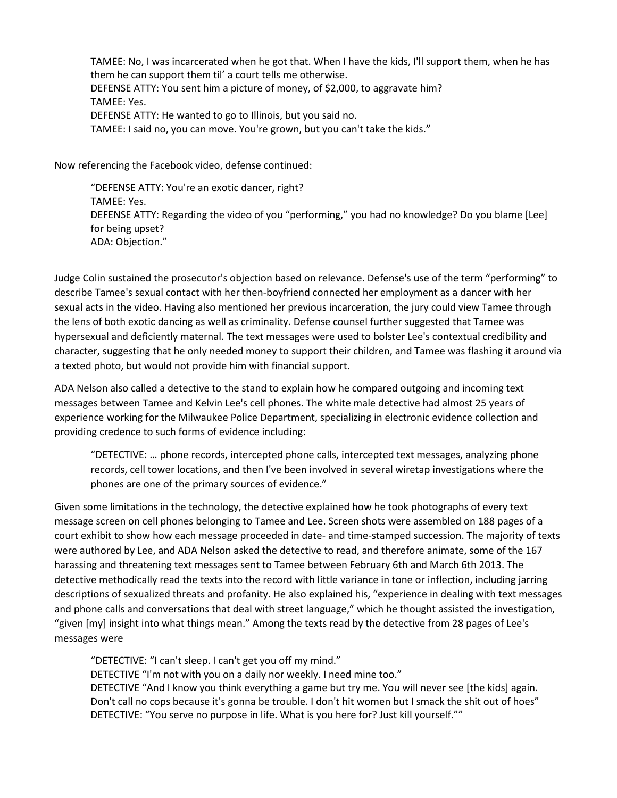TAMEE: No, I was incarcerated when he got that. When I have the kids, I'll support them, when he has them he can support them til' a court tells me otherwise. DEFENSE ATTY: You sent him a picture of money, of \$2,000, to aggravate him? TAMEE: Yes. DEFENSE ATTY: He wanted to go to Illinois, but you said no. TAMEE: I said no, you can move. You're grown, but you can't take the kids."

Now referencing the Facebook video, defense continued:

"DEFENSE ATTY: You're an exotic dancer, right? TAMEE: Yes. DEFENSE ATTY: Regarding the video of you "performing," you had no knowledge? Do you blame [Lee] for being upset? ADA: Objection."

Judge Colin sustained the prosecutor's objection based on relevance. Defense's use of the term "performing" to describe Tamee's sexual contact with her then-boyfriend connected her employment as a dancer with her sexual acts in the video. Having also mentioned her previous incarceration, the jury could view Tamee through the lens of both exotic dancing as well as criminality. Defense counsel further suggested that Tamee was hypersexual and deficiently maternal. The text messages were used to bolster Lee's contextual credibility and character, suggesting that he only needed money to support their children, and Tamee was flashing it around via a texted photo, but would not provide him with financial support.

ADA Nelson also called a detective to the stand to explain how he compared outgoing and incoming text messages between Tamee and Kelvin Lee's cell phones. The white male detective had almost 25 years of experience working for the Milwaukee Police Department, specializing in electronic evidence collection and providing credence to such forms of evidence including:

"DETECTIVE: … phone records, intercepted phone calls, intercepted text messages, analyzing phone records, cell tower locations, and then I've been involved in several wiretap investigations where the phones are one of the primary sources of evidence."

Given some limitations in the technology, the detective explained how he took photographs of every text message screen on cell phones belonging to Tamee and Lee. Screen shots were assembled on 188 pages of a court exhibit to show how each message proceeded in date- and time-stamped succession. The majority of texts were authored by Lee, and ADA Nelson asked the detective to read, and therefore animate, some of the 167 harassing and threatening text messages sent to Tamee between February 6th and March 6th 2013. The detective methodically read the texts into the record with little variance in tone or inflection, including jarring descriptions of sexualized threats and profanity. He also explained his, "experience in dealing with text messages and phone calls and conversations that deal with street language," which he thought assisted the investigation, "given [my] insight into what things mean." Among the texts read by the detective from 28 pages of Lee's messages were

"DETECTIVE: "I can't sleep. I can't get you off my mind." DETECTIVE "I'm not with you on a daily nor weekly. I need mine too." DETECTIVE "And I know you think everything a game but try me. You will never see [the kids] again. Don't call no cops because it's gonna be trouble. I don't hit women but I smack the shit out of hoes" DETECTIVE: "You serve no purpose in life. What is you here for? Just kill yourself.""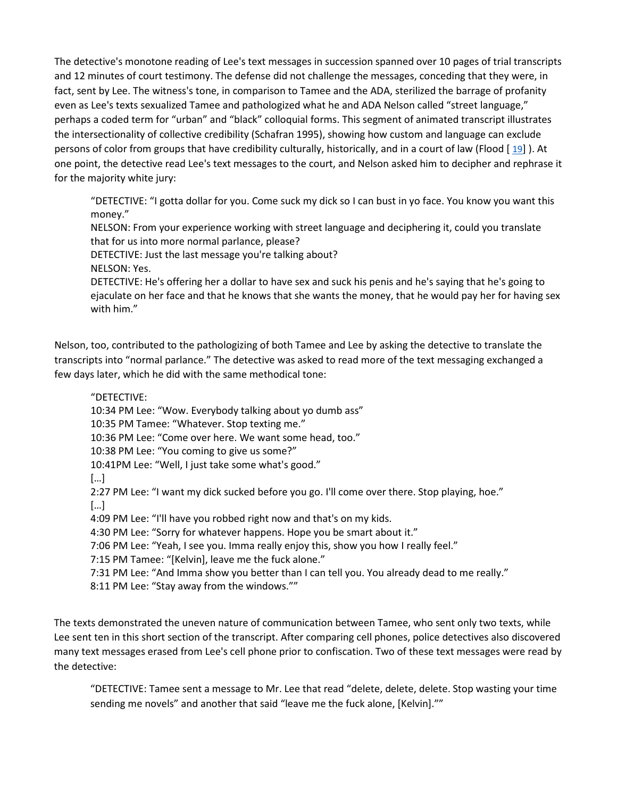The detective's monotone reading of Lee's text messages in succession spanned over 10 pages of trial transcripts and 12 minutes of court testimony. The defense did not challenge the messages, conceding that they were, in fact, sent by Lee. The witness's tone, in comparison to Tamee and the ADA, sterilized the barrage of profanity even as Lee's texts sexualized Tamee and pathologized what he and ADA Nelson called "street language," perhaps a coded term for "urban" and "black" colloquial forms. This segment of animated transcript illustrates the intersectionality of collective credibility (Schafran 1995), showing how custom and language can exclude persons of color from groups that have credibility culturally, historically, and in a court of law (Flood [ [19\]](https://0-web-b-ebscohost-com.libus.csd.mu.edu/ehost/detail/detail?vid=2&sid=a1f9e709-a899-4c8a-8212-d7889a778fc0%40sessionmgr101&bdata=JnNpdGU9ZWhvc3QtbGl2ZQ%3d%3d#bib19) ). At one point, the detective read Lee's text messages to the court, and Nelson asked him to decipher and rephrase it for the majority white jury:

"DETECTIVE: "I gotta dollar for you. Come suck my dick so I can bust in yo face. You know you want this money."

NELSON: From your experience working with street language and deciphering it, could you translate that for us into more normal parlance, please?

DETECTIVE: Just the last message you're talking about?

NELSON: Yes.

DETECTIVE: He's offering her a dollar to have sex and suck his penis and he's saying that he's going to ejaculate on her face and that he knows that she wants the money, that he would pay her for having sex with him."

Nelson, too, contributed to the pathologizing of both Tamee and Lee by asking the detective to translate the transcripts into "normal parlance." The detective was asked to read more of the text messaging exchanged a few days later, which he did with the same methodical tone:

"DETECTIVE:

10:34 PM Lee: "Wow. Everybody talking about yo dumb ass"

10:35 PM Tamee: "Whatever. Stop texting me."

10:36 PM Lee: "Come over here. We want some head, too."

10:38 PM Lee: "You coming to give us some?"

10:41PM Lee: "Well, I just take some what's good."

[…]

2:27 PM Lee: "I want my dick sucked before you go. I'll come over there. Stop playing, hoe."

[…]

4:09 PM Lee: "I'll have you robbed right now and that's on my kids.

4:30 PM Lee: "Sorry for whatever happens. Hope you be smart about it."

7:06 PM Lee: "Yeah, I see you. Imma really enjoy this, show you how I really feel."

7:15 PM Tamee: "[Kelvin], leave me the fuck alone."

7:31 PM Lee: "And Imma show you better than I can tell you. You already dead to me really."

8:11 PM Lee: "Stay away from the windows.""

The texts demonstrated the uneven nature of communication between Tamee, who sent only two texts, while Lee sent ten in this short section of the transcript. After comparing cell phones, police detectives also discovered many text messages erased from Lee's cell phone prior to confiscation. Two of these text messages were read by the detective:

"DETECTIVE: Tamee sent a message to Mr. Lee that read "delete, delete, delete. Stop wasting your time sending me novels" and another that said "leave me the fuck alone, [Kelvin].""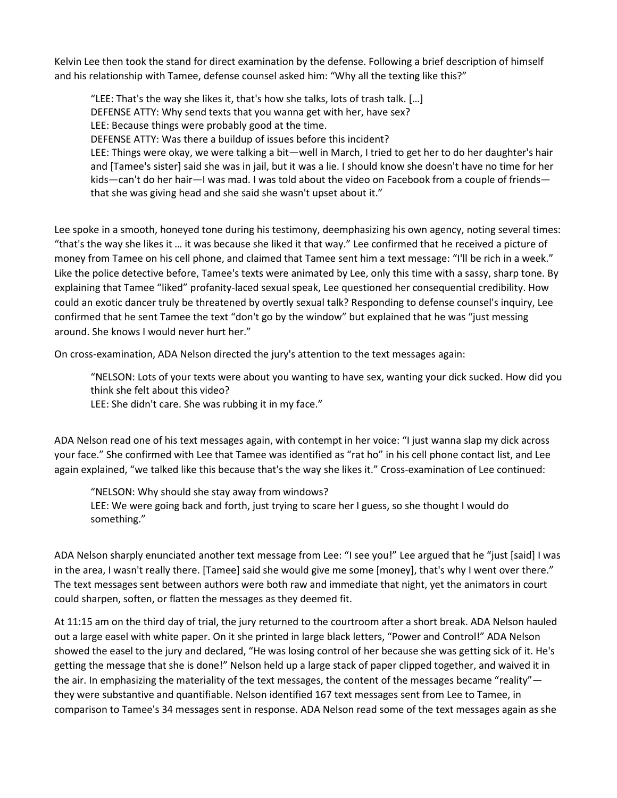Kelvin Lee then took the stand for direct examination by the defense. Following a brief description of himself and his relationship with Tamee, defense counsel asked him: "Why all the texting like this?"

"LEE: That's the way she likes it, that's how she talks, lots of trash talk. […] DEFENSE ATTY: Why send texts that you wanna get with her, have sex? LEE: Because things were probably good at the time. DEFENSE ATTY: Was there a buildup of issues before this incident? LEE: Things were okay, we were talking a bit—well in March, I tried to get her to do her daughter's hair and [Tamee's sister] said she was in jail, but it was a lie. I should know she doesn't have no time for her kids—can't do her hair—I was mad. I was told about the video on Facebook from a couple of friends that she was giving head and she said she wasn't upset about it."

Lee spoke in a smooth, honeyed tone during his testimony, deemphasizing his own agency, noting several times: "that's the way she likes it … it was because she liked it that way." Lee confirmed that he received a picture of money from Tamee on his cell phone, and claimed that Tamee sent him a text message: "I'll be rich in a week." Like the police detective before, Tamee's texts were animated by Lee, only this time with a sassy, sharp tone. By explaining that Tamee "liked" profanity-laced sexual speak, Lee questioned her consequential credibility. How could an exotic dancer truly be threatened by overtly sexual talk? Responding to defense counsel's inquiry, Lee confirmed that he sent Tamee the text "don't go by the window" but explained that he was "just messing around. She knows I would never hurt her."

On cross-examination, ADA Nelson directed the jury's attention to the text messages again:

"NELSON: Lots of your texts were about you wanting to have sex, wanting your dick sucked. How did you think she felt about this video?

LEE: She didn't care. She was rubbing it in my face."

ADA Nelson read one of his text messages again, with contempt in her voice: "I just wanna slap my dick across your face." She confirmed with Lee that Tamee was identified as "rat ho" in his cell phone contact list, and Lee again explained, "we talked like this because that's the way she likes it." Cross-examination of Lee continued:

"NELSON: Why should she stay away from windows? LEE: We were going back and forth, just trying to scare her I guess, so she thought I would do something."

ADA Nelson sharply enunciated another text message from Lee: "I see you!" Lee argued that he "just [said] I was in the area, I wasn't really there. [Tamee] said she would give me some [money], that's why I went over there." The text messages sent between authors were both raw and immediate that night, yet the animators in court could sharpen, soften, or flatten the messages as they deemed fit.

At 11:15 am on the third day of trial, the jury returned to the courtroom after a short break. ADA Nelson hauled out a large easel with white paper. On it she printed in large black letters, "Power and Control!" ADA Nelson showed the easel to the jury and declared, "He was losing control of her because she was getting sick of it. He's getting the message that she is done!" Nelson held up a large stack of paper clipped together, and waived it in the air. In emphasizing the materiality of the text messages, the content of the messages became "reality" they were substantive and quantifiable. Nelson identified 167 text messages sent from Lee to Tamee, in comparison to Tamee's 34 messages sent in response. ADA Nelson read some of the text messages again as she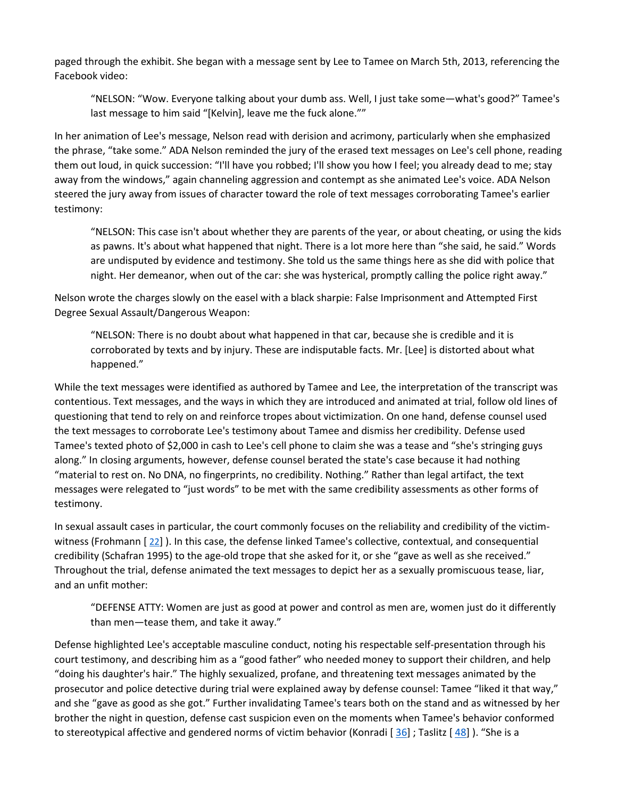paged through the exhibit. She began with a message sent by Lee to Tamee on March 5th, 2013, referencing the Facebook video:

"NELSON: "Wow. Everyone talking about your dumb ass. Well, I just take some—what's good?" Tamee's last message to him said "[Kelvin], leave me the fuck alone.""

In her animation of Lee's message, Nelson read with derision and acrimony, particularly when she emphasized the phrase, "take some." ADA Nelson reminded the jury of the erased text messages on Lee's cell phone, reading them out loud, in quick succession: "I'll have you robbed; I'll show you how I feel; you already dead to me; stay away from the windows," again channeling aggression and contempt as she animated Lee's voice. ADA Nelson steered the jury away from issues of character toward the role of text messages corroborating Tamee's earlier testimony:

"NELSON: This case isn't about whether they are parents of the year, or about cheating, or using the kids as pawns. It's about what happened that night. There is a lot more here than "she said, he said." Words are undisputed by evidence and testimony. She told us the same things here as she did with police that night. Her demeanor, when out of the car: she was hysterical, promptly calling the police right away."

Nelson wrote the charges slowly on the easel with a black sharpie: False Imprisonment and Attempted First Degree Sexual Assault/Dangerous Weapon:

"NELSON: There is no doubt about what happened in that car, because she is credible and it is corroborated by texts and by injury. These are indisputable facts. Mr. [Lee] is distorted about what happened."

While the text messages were identified as authored by Tamee and Lee, the interpretation of the transcript was contentious. Text messages, and the ways in which they are introduced and animated at trial, follow old lines of questioning that tend to rely on and reinforce tropes about victimization. On one hand, defense counsel used the text messages to corroborate Lee's testimony about Tamee and dismiss her credibility. Defense used Tamee's texted photo of \$2,000 in cash to Lee's cell phone to claim she was a tease and "she's stringing guys along." In closing arguments, however, defense counsel berated the state's case because it had nothing "material to rest on. No DNA, no fingerprints, no credibility. Nothing." Rather than legal artifact, the text messages were relegated to "just words" to be met with the same credibility assessments as other forms of testimony.

In sexual assault cases in particular, the court commonly focuses on the reliability and credibility of the victimwitness (Frohmann  $[22]$  $[22]$ ). In this case, the defense linked Tamee's collective, contextual, and consequential credibility (Schafran 1995) to the age-old trope that she asked for it, or she "gave as well as she received." Throughout the trial, defense animated the text messages to depict her as a sexually promiscuous tease, liar, and an unfit mother:

"DEFENSE ATTY: Women are just as good at power and control as men are, women just do it differently than men—tease them, and take it away."

Defense highlighted Lee's acceptable masculine conduct, noting his respectable self-presentation through his court testimony, and describing him as a "good father" who needed money to support their children, and help "doing his daughter's hair." The highly sexualized, profane, and threatening text messages animated by the prosecutor and police detective during trial were explained away by defense counsel: Tamee "liked it that way," and she "gave as good as she got." Further invalidating Tamee's tears both on the stand and as witnessed by her brother the night in question, defense cast suspicion even on the moments when Tamee's behavior conformed to stereotypical affective and gendered norms of victim behavior (Konradi  $[36]$  $[36]$ ; Taslitz  $[48]$  $[48]$ ). "She is a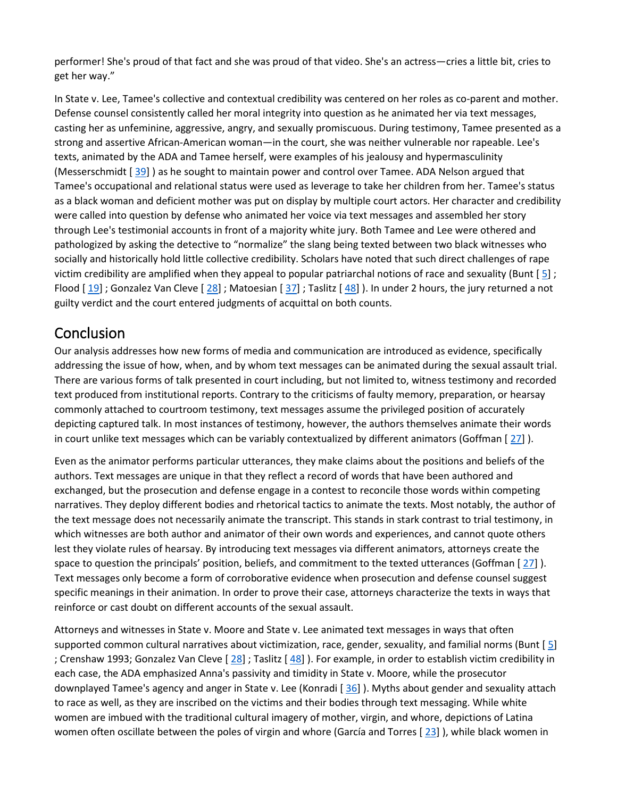performer! She's proud of that fact and she was proud of that video. She's an actress—cries a little bit, cries to get her way."

In State v. Lee, Tamee's collective and contextual credibility was centered on her roles as co-parent and mother. Defense counsel consistently called her moral integrity into question as he animated her via text messages, casting her as unfeminine, aggressive, angry, and sexually promiscuous. During testimony, Tamee presented as a strong and assertive African-American woman—in the court, she was neither vulnerable nor rapeable. Lee's texts, animated by the ADA and Tamee herself, were examples of his jealousy and hypermasculinity (Messerschmidt [ [39\]](https://0-web-b-ebscohost-com.libus.csd.mu.edu/ehost/detail/detail?vid=2&sid=a1f9e709-a899-4c8a-8212-d7889a778fc0%40sessionmgr101&bdata=JnNpdGU9ZWhvc3QtbGl2ZQ%3d%3d#bib39) ) as he sought to maintain power and control over Tamee. ADA Nelson argued that Tamee's occupational and relational status were used as leverage to take her children from her. Tamee's status as a black woman and deficient mother was put on display by multiple court actors. Her character and credibility were called into question by defense who animated her voice via text messages and assembled her story through Lee's testimonial accounts in front of a majority white jury. Both Tamee and Lee were othered and pathologized by asking the detective to "normalize" the slang being texted between two black witnesses who socially and historically hold little collective credibility. Scholars have noted that such direct challenges of rape victim credibility are amplified when they appeal to popular patriarchal notions of race and sexuality (Bunt  $[5]$  $[5]$ ; Flood  $[19]$  $[19]$ ; Gonzalez Van Cleve  $[28]$  $[28]$ ; Matoesian  $[37]$  $[37]$ ; Taslitz  $[48]$  $[48]$ ). In under 2 hours, the jury returned a not guilty verdict and the court entered judgments of acquittal on both counts.

## Conclusion

Our analysis addresses how new forms of media and communication are introduced as evidence, specifically addressing the issue of how, when, and by whom text messages can be animated during the sexual assault trial. There are various forms of talk presented in court including, but not limited to, witness testimony and recorded text produced from institutional reports. Contrary to the criticisms of faulty memory, preparation, or hearsay commonly attached to courtroom testimony, text messages assume the privileged position of accurately depicting captured talk. In most instances of testimony, however, the authors themselves animate their words in court unlike text messages which can be variably contextualized by different animators (Goffman [ [27\]](https://0-web-b-ebscohost-com.libus.csd.mu.edu/ehost/detail/detail?vid=2&sid=a1f9e709-a899-4c8a-8212-d7889a778fc0%40sessionmgr101&bdata=JnNpdGU9ZWhvc3QtbGl2ZQ%3d%3d#bib27) ).

Even as the animator performs particular utterances, they make claims about the positions and beliefs of the authors. Text messages are unique in that they reflect a record of words that have been authored and exchanged, but the prosecution and defense engage in a contest to reconcile those words within competing narratives. They deploy different bodies and rhetorical tactics to animate the texts. Most notably, the author of the text message does not necessarily animate the transcript. This stands in stark contrast to trial testimony, in which witnesses are both author and animator of their own words and experiences, and cannot quote others lest they violate rules of hearsay. By introducing text messages via different animators, attorneys create the space to question the principals' position, beliefs, and commitment to the texted utterances (Goffman [ [27\]](https://0-web-b-ebscohost-com.libus.csd.mu.edu/ehost/detail/detail?vid=2&sid=a1f9e709-a899-4c8a-8212-d7889a778fc0%40sessionmgr101&bdata=JnNpdGU9ZWhvc3QtbGl2ZQ%3d%3d#bib27) ). Text messages only become a form of corroborative evidence when prosecution and defense counsel suggest specific meanings in their animation. In order to prove their case, attorneys characterize the texts in ways that reinforce or cast doubt on different accounts of the sexual assault.

Attorneys and witnesses in State v. Moore and State v. Lee animated text messages in ways that often supported common cultural narratives about victimization, race, gender, sexuality, and familial norms (Bunt  $[5]$  $[5]$ ; Crenshaw 1993; Gonzalez Van Cleve  $[28]$  $[28]$ ; Taslitz  $[48]$  $[48]$ ). For example, in order to establish victim credibility in each case, the ADA emphasized Anna's passivity and timidity in State v. Moore, while the prosecutor downplayed Tamee's agency and anger in State v. Lee (Konradi [ [36\]](https://0-web-b-ebscohost-com.libus.csd.mu.edu/ehost/detail/detail?vid=2&sid=a1f9e709-a899-4c8a-8212-d7889a778fc0%40sessionmgr101&bdata=JnNpdGU9ZWhvc3QtbGl2ZQ%3d%3d#bib36) ). Myths about gender and sexuality attach to race as well, as they are inscribed on the victims and their bodies through text messaging. While white women are imbued with the traditional cultural imagery of mother, virgin, and whore, depictions of Latina women often oscillate between the poles of virgin and whore (García and Torres [[23\]](https://0-web-b-ebscohost-com.libus.csd.mu.edu/ehost/detail/detail?vid=2&sid=a1f9e709-a899-4c8a-8212-d7889a778fc0%40sessionmgr101&bdata=JnNpdGU9ZWhvc3QtbGl2ZQ%3d%3d#bib23)), while black women in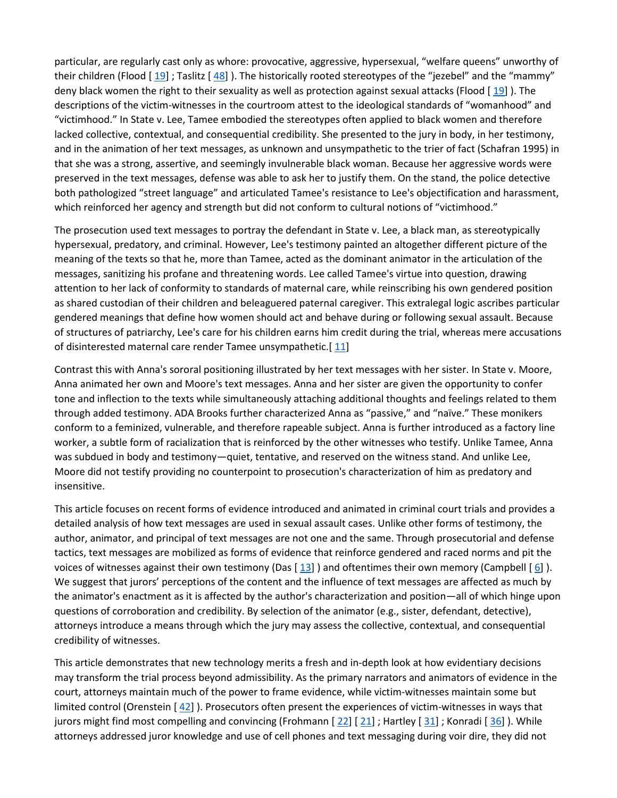particular, are regularly cast only as whore: provocative, aggressive, hypersexual, "welfare queens" unworthy of their children (Flood [ [19\]](https://0-web-b-ebscohost-com.libus.csd.mu.edu/ehost/detail/detail?vid=2&sid=a1f9e709-a899-4c8a-8212-d7889a778fc0%40sessionmgr101&bdata=JnNpdGU9ZWhvc3QtbGl2ZQ%3d%3d#bib19) ; Taslitz [ [48\]](https://0-web-b-ebscohost-com.libus.csd.mu.edu/ehost/detail/detail?vid=2&sid=a1f9e709-a899-4c8a-8212-d7889a778fc0%40sessionmgr101&bdata=JnNpdGU9ZWhvc3QtbGl2ZQ%3d%3d#bib48) ). The historically rooted stereotypes of the "jezebel" and the "mammy" deny black women the right to their sexuality as well as protection against sexual attacks (Flood [ [19\]](https://0-web-b-ebscohost-com.libus.csd.mu.edu/ehost/detail/detail?vid=2&sid=a1f9e709-a899-4c8a-8212-d7889a778fc0%40sessionmgr101&bdata=JnNpdGU9ZWhvc3QtbGl2ZQ%3d%3d#bib19) ). The descriptions of the victim-witnesses in the courtroom attest to the ideological standards of "womanhood" and "victimhood." In State v. Lee, Tamee embodied the stereotypes often applied to black women and therefore lacked collective, contextual, and consequential credibility. She presented to the jury in body, in her testimony, and in the animation of her text messages, as unknown and unsympathetic to the trier of fact (Schafran 1995) in that she was a strong, assertive, and seemingly invulnerable black woman. Because her aggressive words were preserved in the text messages, defense was able to ask her to justify them. On the stand, the police detective both pathologized "street language" and articulated Tamee's resistance to Lee's objectification and harassment, which reinforced her agency and strength but did not conform to cultural notions of "victimhood."

The prosecution used text messages to portray the defendant in State v. Lee, a black man, as stereotypically hypersexual, predatory, and criminal. However, Lee's testimony painted an altogether different picture of the meaning of the texts so that he, more than Tamee, acted as the dominant animator in the articulation of the messages, sanitizing his profane and threatening words. Lee called Tamee's virtue into question, drawing attention to her lack of conformity to standards of maternal care, while reinscribing his own gendered position as shared custodian of their children and beleaguered paternal caregiver. This extralegal logic ascribes particular gendered meanings that define how women should act and behave during or following sexual assault. Because of structures of patriarchy, Lee's care for his children earns him credit during the trial, whereas mere accusations of disinterested maternal care render Tamee unsympathetic.[[11\]](https://0-web-b-ebscohost-com.libus.csd.mu.edu/ehost/detail/detail?vid=2&sid=a1f9e709-a899-4c8a-8212-d7889a778fc0%40sessionmgr101&bdata=JnNpdGU9ZWhvc3QtbGl2ZQ%3d%3d#bib11)

Contrast this with Anna's sororal positioning illustrated by her text messages with her sister. In State v. Moore, Anna animated her own and Moore's text messages. Anna and her sister are given the opportunity to confer tone and inflection to the texts while simultaneously attaching additional thoughts and feelings related to them through added testimony. ADA Brooks further characterized Anna as "passive," and "naïve." These monikers conform to a feminized, vulnerable, and therefore rapeable subject. Anna is further introduced as a factory line worker, a subtle form of racialization that is reinforced by the other witnesses who testify. Unlike Tamee, Anna was subdued in body and testimony—quiet, tentative, and reserved on the witness stand. And unlike Lee, Moore did not testify providing no counterpoint to prosecution's characterization of him as predatory and insensitive.

This article focuses on recent forms of evidence introduced and animated in criminal court trials and provides a detailed analysis of how text messages are used in sexual assault cases. Unlike other forms of testimony, the author, animator, and principal of text messages are not one and the same. Through prosecutorial and defense tactics, text messages are mobilized as forms of evidence that reinforce gendered and raced norms and pit the voices of witnesses against their own testimony (Das  $[13]$  $[13]$ ) and oftentimes their own memory (Campbell  $[6]$  $[6]$ ). We suggest that jurors' perceptions of the content and the influence of text messages are affected as much by the animator's enactment as it is affected by the author's characterization and position—all of which hinge upon questions of corroboration and credibility. By selection of the animator (e.g., sister, defendant, detective), attorneys introduce a means through which the jury may assess the collective, contextual, and consequential credibility of witnesses.

This article demonstrates that new technology merits a fresh and in-depth look at how evidentiary decisions may transform the trial process beyond admissibility. As the primary narrators and animators of evidence in the court, attorneys maintain much of the power to frame evidence, while victim-witnesses maintain some but limited control (Orenstein  $[42]$  $[42]$ ). Prosecutors often present the experiences of victim-witnesses in ways that jurors might find most compelling and convincing (Frohmann  $[22] [21]$  $[22] [21]$  $[22] [21]$  $[22] [21]$ ; Hartley  $[31]$  $[31]$ ; Konradi  $[36]$  $[36]$ ). While attorneys addressed juror knowledge and use of cell phones and text messaging during voir dire, they did not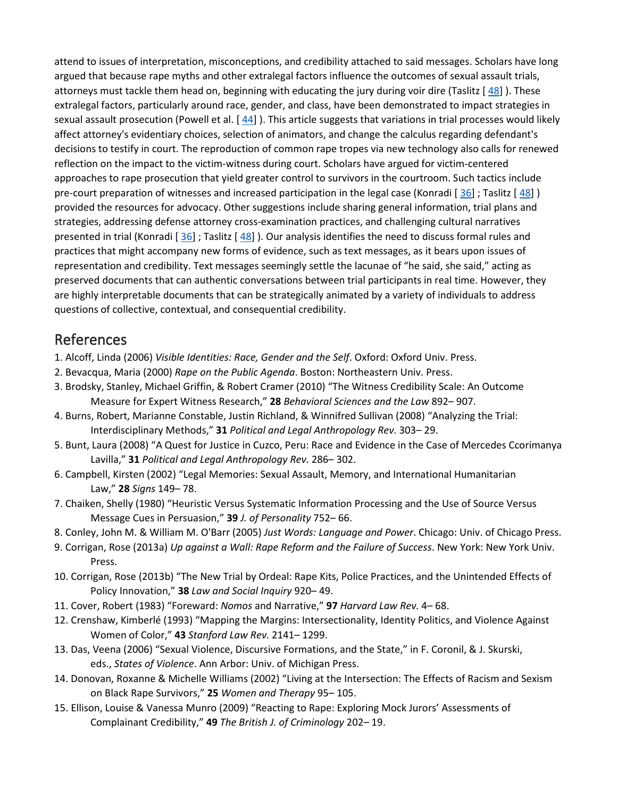attend to issues of interpretation, misconceptions, and credibility attached to said messages. Scholars have long argued that because rape myths and other extralegal factors influence the outcomes of sexual assault trials, attorneys must tackle them head on, beginning with educating the jury during voir dire (Taslitz [ [48\]](https://0-web-b-ebscohost-com.libus.csd.mu.edu/ehost/detail/detail?vid=2&sid=a1f9e709-a899-4c8a-8212-d7889a778fc0%40sessionmgr101&bdata=JnNpdGU9ZWhvc3QtbGl2ZQ%3d%3d#bib48) ). These extralegal factors, particularly around race, gender, and class, have been demonstrated to impact strategies in sexual assault prosecution (Powell et al. [ [44\]](https://0-web-b-ebscohost-com.libus.csd.mu.edu/ehost/detail/detail?vid=2&sid=a1f9e709-a899-4c8a-8212-d7889a778fc0%40sessionmgr101&bdata=JnNpdGU9ZWhvc3QtbGl2ZQ%3d%3d#bib44) ). This article suggests that variations in trial processes would likely affect attorney's evidentiary choices, selection of animators, and change the calculus regarding defendant's decisions to testify in court. The reproduction of common rape tropes via new technology also calls for renewed reflection on the impact to the victim-witness during court. Scholars have argued for victim-centered approaches to rape prosecution that yield greater control to survivors in the courtroom. Such tactics include pre-court preparation of witnesses and increased participation in the legal case (Konradi [[36\]](https://0-web-b-ebscohost-com.libus.csd.mu.edu/ehost/detail/detail?vid=2&sid=a1f9e709-a899-4c8a-8212-d7889a778fc0%40sessionmgr101&bdata=JnNpdGU9ZWhvc3QtbGl2ZQ%3d%3d#bib36); Taslitz [[48\]](https://0-web-b-ebscohost-com.libus.csd.mu.edu/ehost/detail/detail?vid=2&sid=a1f9e709-a899-4c8a-8212-d7889a778fc0%40sessionmgr101&bdata=JnNpdGU9ZWhvc3QtbGl2ZQ%3d%3d#bib48)) provided the resources for advocacy. Other suggestions include sharing general information, trial plans and strategies, addressing defense attorney cross-examination practices, and challenging cultural narratives presented in trial (Konradi [[36\]](https://0-web-b-ebscohost-com.libus.csd.mu.edu/ehost/detail/detail?vid=2&sid=a1f9e709-a899-4c8a-8212-d7889a778fc0%40sessionmgr101&bdata=JnNpdGU9ZWhvc3QtbGl2ZQ%3d%3d#bib36) ; Taslitz [[48\]](https://0-web-b-ebscohost-com.libus.csd.mu.edu/ehost/detail/detail?vid=2&sid=a1f9e709-a899-4c8a-8212-d7889a778fc0%40sessionmgr101&bdata=JnNpdGU9ZWhvc3QtbGl2ZQ%3d%3d#bib48)). Our analysis identifies the need to discuss formal rules and practices that might accompany new forms of evidence, such as text messages, as it bears upon issues of representation and credibility. Text messages seemingly settle the lacunae of "he said, she said," acting as preserved documents that can authentic conversations between trial participants in real time. However, they are highly interpretable documents that can be strategically animated by a variety of individuals to address questions of collective, contextual, and consequential credibility.

#### References

- 1. Alcoff, Linda (2006) *Visible Identities: Race, Gender and the Self*. Oxford: Oxford Univ. Press.
- 2. Bevacqua, Maria (2000) *Rape on the Public Agenda*. Boston: Northeastern Univ. Press.
- 3. Brodsky, Stanley, Michael Griffin, & Robert Cramer (2010) "The Witness Credibility Scale: An Outcome Measure for Expert Witness Research," **28** *Behavioral Sciences and the Law* 892– 907.
- 4. Burns, Robert, Marianne Constable, Justin Richland, & Winnifred Sullivan (2008) "Analyzing the Trial: Interdisciplinary Methods," **31** *Political and Legal Anthropology Rev.* 303– 29.
- 5. Bunt, Laura (2008) "A Quest for Justice in Cuzco, Peru: Race and Evidence in the Case of Mercedes Ccorimanya Lavilla," **31** *Political and Legal Anthropology Rev.* 286– 302.
- 6. Campbell, Kirsten (2002) "Legal Memories: Sexual Assault, Memory, and International Humanitarian Law," **28** *Signs* 149– 78.
- 7. Chaiken, Shelly (1980) "Heuristic Versus Systematic Information Processing and the Use of Source Versus Message Cues in Persuasion," **39** *J. of Personality* 752– 66.
- 8. Conley, John M. & William M. O'Barr (2005) *Just Words: Language and Power*. Chicago: Univ. of Chicago Press.
- 9. Corrigan, Rose (2013a) *Up against a Wall: Rape Reform and the Failure of Success*. New York: New York Univ. Press.
- 10. Corrigan, Rose (2013b) "The New Trial by Ordeal: Rape Kits, Police Practices, and the Unintended Effects of Policy Innovation," **38** *Law and Social Inquiry* 920– 49.
- 11. Cover, Robert (1983) "Foreward: *Nomos* and Narrative," **97** *Harvard Law Rev.* 4– 68.
- 12. Crenshaw, Kimberlé (1993) "Mapping the Margins: Intersectionality, Identity Politics, and Violence Against Women of Color," **43** *Stanford Law Rev.* 2141– 1299.
- 13. Das, Veena (2006) "Sexual Violence, Discursive Formations, and the State," in F. Coronil, & J. Skurski, eds., *States of Violence*. Ann Arbor: Univ. of Michigan Press.
- 14. Donovan, Roxanne & Michelle Williams (2002) "Living at the Intersection: The Effects of Racism and Sexism on Black Rape Survivors," **25** *Women and Therapy* 95– 105.
- 15. Ellison, Louise & Vanessa Munro (2009) "Reacting to Rape: Exploring Mock Jurors' Assessments of Complainant Credibility," **49** *The British J. of Criminology* 202– 19.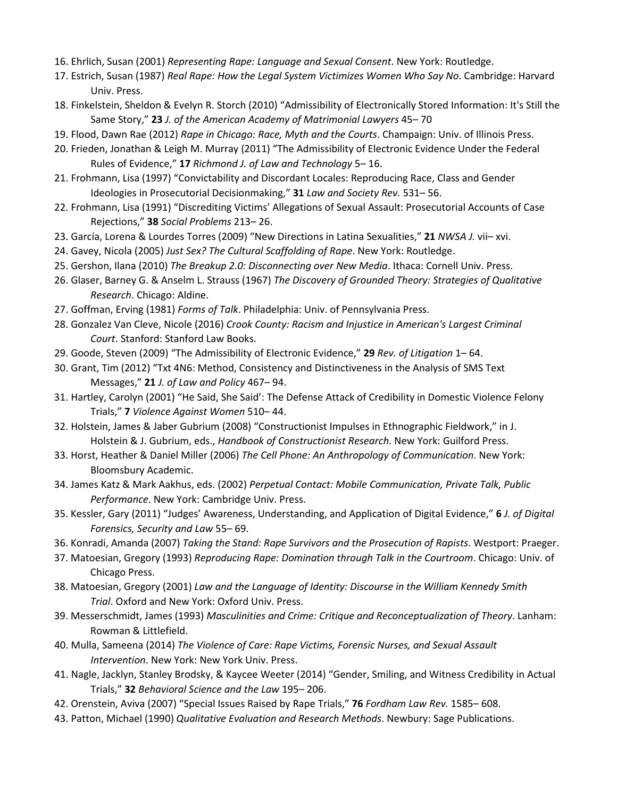- 16. Ehrlich, Susan (2001) *Representing Rape: Language and Sexual Consent*. New York: Routledge.
- 17. Estrich, Susan (1987) *Real Rape: How the Legal System Victimizes Women Who Say No*. Cambridge: Harvard Univ. Press.
- 18. Finkelstein, Sheldon & Evelyn R. Storch (2010) "Admissibility of Electronically Stored Information: It's Still the Same Story," **23** *J. of the American Academy of Matrimonial Lawyers* 45– 70
- 19. Flood, Dawn Rae (2012) *Rape in Chicago: Race, Myth and the Courts*. Champaign: Univ. of Illinois Press.
- 20. Frieden, Jonathan & Leigh M. Murray (2011) "The Admissibility of Electronic Evidence Under the Federal Rules of Evidence," **17** *Richmond J. of Law and Technology* 5– 16.
- 21. Frohmann, Lisa (1997) "Convictability and Discordant Locales: Reproducing Race, Class and Gender Ideologies in Prosecutorial Decisionmaking," **31** *Law and Society Rev.* 531– 56.
- 22. Frohmann, Lisa (1991) "Discrediting Victims' Allegations of Sexual Assault: Prosecutorial Accounts of Case Rejections," **38** *Social Problems* 213– 26.
- 23. García, Lorena & Lourdes Torres (2009) "New Directions in Latina Sexualities," **21** *NWSA J.* vii– xvi.
- 24. Gavey, Nicola (2005) *Just Sex? The Cultural Scaffolding of Rape*. New York: Routledge.
- 25. Gershon, Ilana (2010) *The Breakup 2.0: Disconnecting over New Media*. Ithaca: Cornell Univ. Press.
- 26. Glaser, Barney G. & Anselm L. Strauss (1967) *The Discovery of Grounded Theory: Strategies of Qualitative Research*. Chicago: Aldine.
- 27. Goffman, Erving (1981) *Forms of Talk*. Philadelphia: Univ. of Pennsylvania Press.
- 28. Gonzalez Van Cleve, Nicole (2016) *Crook County: Racism and Injustice in American's Largest Criminal Court*. Stanford: Stanford Law Books.
- 29. Goode, Steven (2009) "The Admissibility of Electronic Evidence," **29** *Rev. of Litigation* 1– 64.
- 30. Grant, Tim (2012) "Txt 4N6: Method, Consistency and Distinctiveness in the Analysis of SMS Text Messages," **21** *J. of Law and Policy* 467– 94.
- 31. Hartley, Carolyn (2001) "He Said, She Said': The Defense Attack of Credibility in Domestic Violence Felony Trials," **7** *Violence Against Women* 510– 44.
- 32. Holstein, James & Jaber Gubrium (2008) "Constructionist Impulses in Ethnographic Fieldwork," in J. Holstein & J. Gubrium, eds., *Handbook of Constructionist Research*. New York: Guilford Press.
- 33. Horst, Heather & Daniel Miller (2006) *The Cell Phone: An Anthropology of Communication*. New York: Bloomsbury Academic.
- 34. James Katz & Mark Aakhus, eds. (2002) *Perpetual Contact: Mobile Communication, Private Talk, Public Performance*. New York: Cambridge Univ. Press.
- 35. Kessler, Gary (2011) "Judges' Awareness, Understanding, and Application of Digital Evidence," **6** *J. of Digital Forensics, Security and Law* 55– 69.
- 36. Konradi, Amanda (2007) *Taking the Stand: Rape Survivors and the Prosecution of Rapists*. Westport: Praeger.
- 37. Matoesian, Gregory (1993) *Reproducing Rape: Domination through Talk in the Courtroom*. Chicago: Univ. of Chicago Press.
- 38. Matoesian, Gregory (2001) *Law and the Language of Identity: Discourse in the William Kennedy Smith Trial*. Oxford and New York: Oxford Univ. Press.
- 39. Messerschmidt, James (1993) *Masculinities and Crime: Critique and Reconceptualization of Theory*. Lanham: Rowman & Littlefield.
- 40. Mulla, Sameena (2014) *The Violence of Care: Rape Victims, Forensic Nurses, and Sexual Assault Intervention*. New York: New York Univ. Press.
- 41. Nagle, Jacklyn, Stanley Brodsky, & Kaycee Weeter (2014) "Gender, Smiling, and Witness Credibility in Actual Trials," **32** *Behavioral Science and the Law* 195– 206.
- 42. Orenstein, Aviva (2007) "Special Issues Raised by Rape Trials," **76** *Fordham Law Rev.* 1585– 608.
- 43. Patton, Michael (1990) *Qualitative Evaluation and Research Methods*. Newbury: Sage Publications.